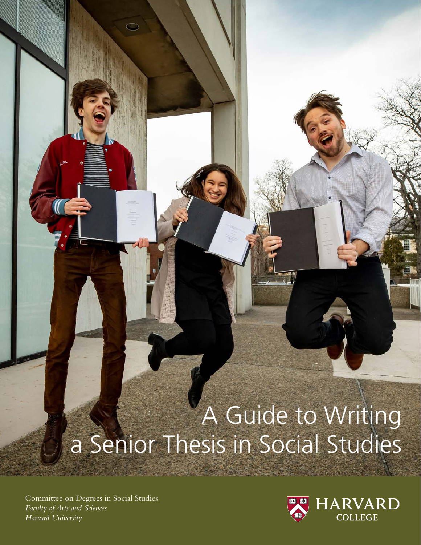# A Guide to Writing a Senior Thesis in Social Studies

*Harvard University* Committee on Degrees in Social Studies *Faculty of Arts and Sciences*

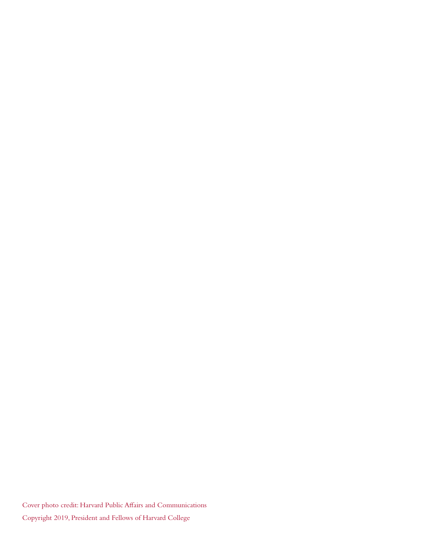Cover photo credit: Harvard Public Affairs and Communications Copyright 2019, President and Fellows of Harvard College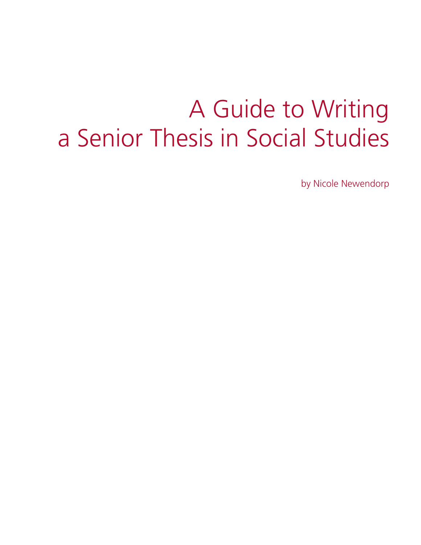# A Guide to Writing a Senior Thesis in Social Studies

by Nicole Newendorp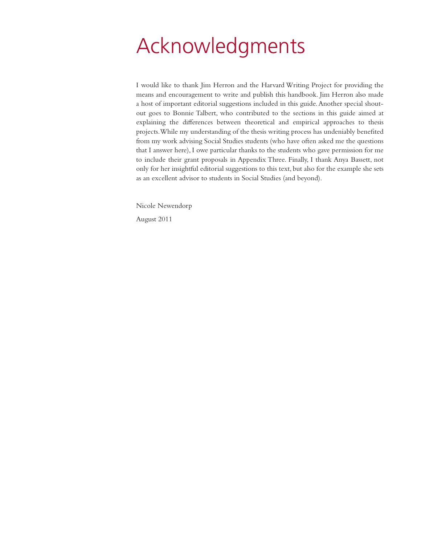# Acknowledgments

I would like to thank Jim Herron and the Harvard Writing Project for providing the means and encouragement to write and publish this handbook. Jim Herron also made a host of important editorial suggestions included in this guide. Another special shoutout goes to Bonnie Talbert, who contributed to the sections in this guide aimed at explaining the differences between theoretical and empirical approaches to thesis projects. While my understanding of the thesis writing process has undeniably benefited from my work advising Social Studies students (who have often asked me the questions that I answer here), I owe particular thanks to the students who gave permission for me to include their grant proposals in Appendix Three. Finally, I thank Anya Bassett, not only for her insightful editorial suggestions to this text, but also for the example she sets as an excellent advisor to students in Social Studies (and beyond).

Nicole Newendorp

August 2011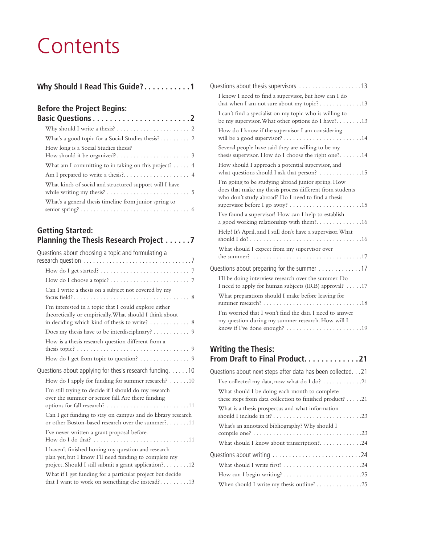# **Contents**

|  | Why Should I Read This Guide?1 |  |  |  |  |  |  |
|--|--------------------------------|--|--|--|--|--|--|
|  |                                |  |  |  |  |  |  |

## **Before the Project Begins:**

| <b>Basic Questions2</b>                                                                                                                     |  |
|---------------------------------------------------------------------------------------------------------------------------------------------|--|
| Why should I write a thesis? $\dots \dots \dots \dots \dots \dots \dots$                                                                    |  |
|                                                                                                                                             |  |
| How long is a Social Studies thesis?                                                                                                        |  |
| What am I committing to in taking on this project? $\dots$ 4                                                                                |  |
|                                                                                                                                             |  |
| What kinds of social and structured support will I have<br>while writing my thesis? $\dots \dots \dots \dots \dots \dots \dots \dots \dots$ |  |
| What's a general thesis timeline from junior spring to                                                                                      |  |

### **Getting Started: Planning the Thesis Research Project . . . . . 7**

| Questions about choosing a topic and formulating a                                                                                                                   |
|----------------------------------------------------------------------------------------------------------------------------------------------------------------------|
|                                                                                                                                                                      |
|                                                                                                                                                                      |
| Can I write a thesis on a subject not covered by my                                                                                                                  |
| I'm interested in a topic that I could explore either<br>theoretically or empirically. What should I think about<br>in deciding which kind of thesis to write? 8     |
| Does my thesis have to be interdisciplinary? 9                                                                                                                       |
| How is a thesis research question different from a                                                                                                                   |
| How do I get from topic to question? 9                                                                                                                               |
| Questions about applying for thesis research funding. 10                                                                                                             |
| How do I apply for funding for summer research? 10                                                                                                                   |
| I'm still trying to decide if I should do my research<br>over the summer or senior fall. Are there funding                                                           |
| Can I get funding to stay on campus and do library research<br>or other Boston-based research over the summer?11                                                     |
| I've never written a grant proposal before.                                                                                                                          |
| I haven't finished honing my question and research<br>plan yet, but I know I'll need funding to complete my<br>project. Should I still submit a grant application?12 |
| What if I get funding for a particular project but decide                                                                                                            |

### **Writing the Thesis: From Draft to Final Product.............21**

| Questions about next steps after data has been collected. 21                                                       |
|--------------------------------------------------------------------------------------------------------------------|
| I've collected my data, now what do I do? $\dots \dots \dots \dots 21$                                             |
| What should I be doing each month to complete<br>these steps from data collection to finished product? $\dots$ .21 |
| What is a thesis prospectus and what information                                                                   |
| What's an annotated bibliography? Why should I                                                                     |
|                                                                                                                    |
| What should I know about transcription?24                                                                          |
| Questions about writing 24                                                                                         |
|                                                                                                                    |
|                                                                                                                    |
|                                                                                                                    |
|                                                                                                                    |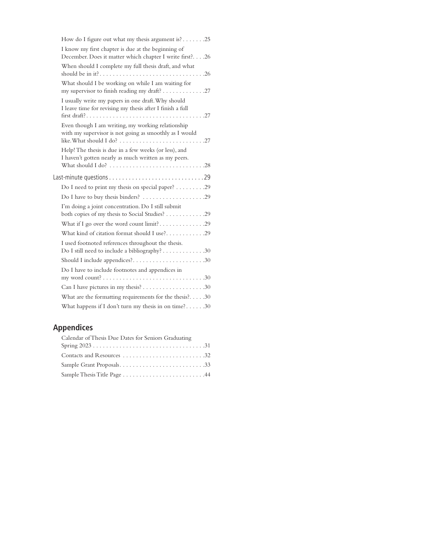| How do I figure out what my thesis argument is?25                                                                                               |
|-------------------------------------------------------------------------------------------------------------------------------------------------|
| I know my first chapter is due at the beginning of<br>December. Does it matter which chapter I write first?. 26                                 |
| When should I complete my full thesis draft, and what                                                                                           |
| What should I be working on while I am waiting for<br>my supervisor to finish reading my draft? 27                                              |
| I usually write my papers in one draft. Why should<br>I leave time for revising my thesis after I finish a full                                 |
| Even though I am writing, my working relationship<br>with my supervisor is not going as smoothly as I would                                     |
| Help! The thesis is due in a few weeks (or less), and<br>I haven't gotten nearly as much written as my peers.                                   |
|                                                                                                                                                 |
| Do I need to print my thesis on special paper? 29                                                                                               |
|                                                                                                                                                 |
| I'm doing a joint concentration. Do I still submit<br>both copies of my thesis to Social Studies? 29                                            |
| What if I go over the word count limit?29                                                                                                       |
| What kind of citation format should I use?29                                                                                                    |
| I used footnoted references throughout the thesis.<br>Do I still need to include a bibliography? 30                                             |
| Should I include appendices?30                                                                                                                  |
| Do I have to include footnotes and appendices in<br>my word count? $\dots \dots \dots \dots \dots \dots \dots \dots \dots \dots \dots \dots 30$ |
|                                                                                                                                                 |
|                                                                                                                                                 |
| What are the formatting requirements for the thesis? $30$                                                                                       |

# **Appendices**

| Calendar of Thesis Due Dates for Seniors Graduating |
|-----------------------------------------------------|
|                                                     |
|                                                     |
|                                                     |
|                                                     |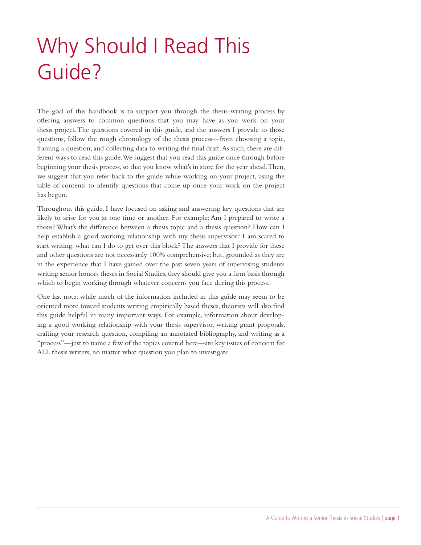# Why Should I Read This Guide?

The goal of this handbook is to support you through the thesis-writing process by offering answers to common questions that you may have as you work on your thesis project. The questions covered in this guide, and the answers I provide to those questions, follow the rough chronology of the thesis process—from choosing a topic, framing a question, and collecting data to writing the final draft. As such, there are different ways to read this guide. We suggest that you read this guide once through before beginning your thesis process, so that you know what's in store for the year ahead. Then, we suggest that you refer back to the guide while working on your project, using the table of contents to identify questions that come up once your work on the project has begun.

Throughout this guide, I have focused on asking and answering key questions that are likely to arise for you at one time or another. For example: Am I prepared to write a thesis? What's the difference between a thesis topic and a thesis question? How can I help establish a good working relationship with my thesis supervisor? I am scared to start writing: what can I do to get over this block? The answers that I provide for these and other questions are not necessarily 100% comprehensive; but, grounded as they are in the experience that I have gained over the past seven years of supervising students writing senior honors theses in Social Studies, they should give you a firm basis through which to begin working through whatever concerns you face during this process.

One last note: while much of the information included in this guide may seem to be oriented more toward students writing empirically based theses, theorists will also find this guide helpful in many important ways. For example, information about developing a good working relationship with your thesis supervisor, writing grant proposals, crafting your research question, compiling an annotated bibliography, and writing as a "process"—just to name a few of the topics covered here—are key issues of concern for ALL thesis writers, no matter what question you plan to investigate.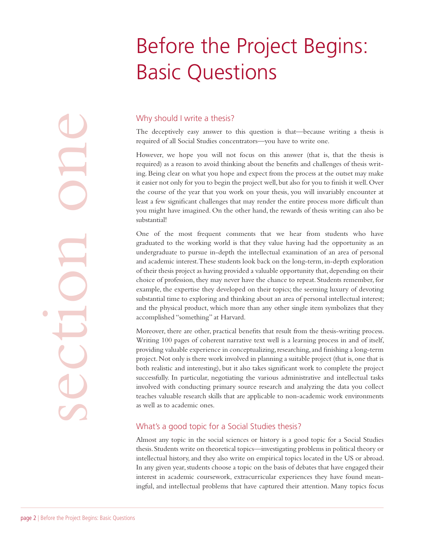# Before the Project Begins: Basic Questions

page 2 | Before the Project Begins: Basic Questions

### Why should I write a thesis?

The deceptively easy answer to this question is that—because writing a thesis is required of all Social Studies concentrators—you have to write one.

However, we hope you will not focus on this answer (that is, that the thesis is required) as a reason to avoid thinking about the benefits and challenges of thesis writing. Being clear on what you hope and expect from the process at the outset may make it easier not only for you to begin the project well, but also for you to finish it well. Over the course of the year that you work on your thesis, you will invariably encounter at least a few significant challenges that may render the entire process more difficult than you might have imagined. On the other hand, the rewards of thesis writing can also be substantial!

One of the most frequent comments that we hear from students who have graduated to the working world is that they value having had the opportunity as an undergraduate to pursue in-depth the intellectual examination of an area of personal and academic interest. These students look back on the long-term, in-depth exploration of their thesis project as having provided a valuable opportunity that, depending on their choice of profession, they may never have the chance to repeat. Students remember, for example, the expertise they developed on their topics; the seeming luxury of devoting substantial time to exploring and thinking about an area of personal intellectual interest; and the physical product, which more than any other single item symbolizes that they accomplished "something" at Harvard.

Moreover, there are other, practical benefits that result from the thesis-writing process. Writing 100 pages of coherent narrative text well is a learning process in and of itself, providing valuable experience in conceptualizing, researching, and finishing a long-term project. Not only is there work involved in planning a suitable project (that is, one that is both realistic and interesting), but it also takes significant work to complete the project successfully. In particular, negotiating the various administrative and intellectual tasks involved with conducting primary source research and analyzing the data you collect teaches valuable research skills that are applicable to non-academic work environments as well as to academic ones.

### What's a good topic for a Social Studies thesis?

Almost any topic in the social sciences or history is a good topic for a Social Studies thesis. Students write on theoretical topics—investigating problems in political theory or intellectual history, and they also write on empirical topics located in the US or abroad. In any given year, students choose a topic on the basis of debates that have engaged their interest in academic coursework, extracurricular experiences they have found meaningful, and intellectual problems that have captured their attention. Many topics focus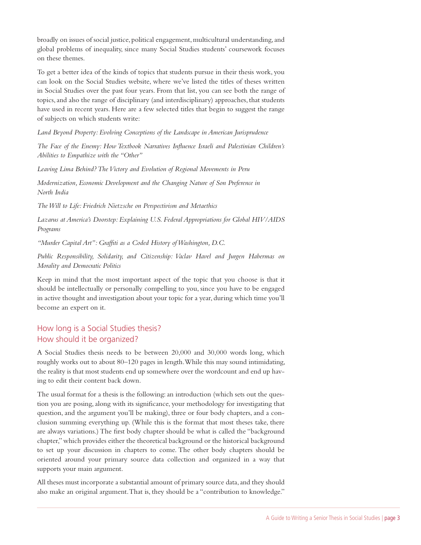broadly on issues of social justice, political engagement, multicultural understanding, and global problems of inequality, since many Social Studies students' coursework focuses on these themes.

To get a better idea of the kinds of topics that students pursue in their thesis work, you can look on the Social Studies website, where we've listed the titles of theses written in Social Studies over the past four years. From that list, you can see both the range of topics, and also the range of disciplinary (and interdisciplinary) approaches, that students have used in recent years. Here are a few selected titles that begin to suggest the range of subjects on which students write:

*Land Beyond Property: Evolving Conceptions of the Landscape in American Jurisprudence* 

*The Face of the Enemy: How Textbook Narratives Influence Israeli and Palestinian Children's Abilities to Empathize with the "Other"*

*Leaving Lima Behind? The Victory and Evolution of Regional Movements in Peru*

*Modernization, Economic Development and the Changing Nature of Son Preference in North India*

*The Will to Life: Friedrich Nietzsche on Perspectivism and Metaethics*

*Lazarus at America's Doorstep: Explaining U.S. Federal Appropriations for Global HIV/AIDS Programs*

*"Murder Capital Art": Graffiti as a Coded History of Washington, D.C.*

*Public Responsibility, Solidarity, and Citizenship: Vaclav Havel and Jurgen Habermas on Morality and Democratic Politics*

Keep in mind that the most important aspect of the topic that you choose is that it should be intellectually or personally compelling to you, since you have to be engaged in active thought and investigation about your topic for a year, during which time you'll become an expert on it.

### How long is a Social Studies thesis? How should it be organized?

A Social Studies thesis needs to be between 20,000 and 30,000 words long, which roughly works out to about 80–120 pages in length. While this may sound intimidating, the reality is that most students end up somewhere over the wordcount and end up having to edit their content back down.

The usual format for a thesis is the following: an introduction (which sets out the question you are posing, along with its significance, your methodology for investigating that question, and the argument you'll be making), three or four body chapters, and a conclusion summing everything up. (While this is the format that most theses take, there are always variations.) The first body chapter should be what is called the "background chapter," which provides either the theoretical background or the historical background to set up your discussion in chapters to come. The other body chapters should be oriented around your primary source data collection and organized in a way that supports your main argument.

All theses must incorporate a substantial amount of primary source data, and they should also make an original argument. That is, they should be a "contribution to knowledge."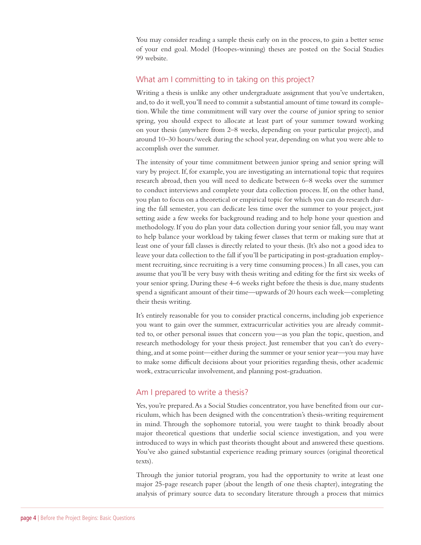You may consider reading a sample thesis early on in the process, to gain a better sense of your end goal. Model (Hoopes-winning) theses are posted on the Social Studies 99 website.

### What am I committing to in taking on this project?

Writing a thesis is unlike any other undergraduate assignment that you've undertaken, and, to do it well, you'll need to commit a substantial amount of time toward its completion. While the time commitment will vary over the course of junior spring to senior spring, you should expect to allocate at least part of your summer toward working on your thesis (anywhere from 2–8 weeks, depending on your particular project), and around 10–30 hours/week during the school year, depending on what you were able to accomplish over the summer.

The intensity of your time commitment between junior spring and senior spring will vary by project. If, for example, you are investigating an international topic that requires research abroad, then you will need to dedicate between 6–8 weeks over the summer to conduct interviews and complete your data collection process. If, on the other hand, you plan to focus on a theoretical or empirical topic for which you can do research during the fall semester, you can dedicate less time over the summer to your project, just setting aside a few weeks for background reading and to help hone your question and methodology. If you do plan your data collection during your senior fall, you may want to help balance your workload by taking fewer classes that term or making sure that at least one of your fall classes is directly related to your thesis. (It's also not a good idea to leave your data collection to the fall if you'll be participating in post-graduation employment recruiting, since recruiting is a very time consuming process.) In all cases, you can assume that you'll be very busy with thesis writing and editing for the first six weeks of your senior spring. During these 4–6 weeks right before the thesis is due, many students spend a significant amount of their time—upwards of 20 hours each week—completing their thesis writing.

It's entirely reasonable for you to consider practical concerns, including job experience you want to gain over the summer, extracurricular activities you are already committed to, or other personal issues that concern you—as you plan the topic, question, and research methodology for your thesis project. Just remember that you can't do everything, and at some point—either during the summer or your senior year—you may have to make some difficult decisions about your priorities regarding thesis, other academic work, extracurricular involvement, and planning post-graduation.

### Am I prepared to write a thesis?

Yes, you're prepared. As a Social Studies concentrator, you have benefited from our curriculum, which has been designed with the concentration's thesis-writing requirement in mind. Through the sophomore tutorial, you were taught to think broadly about major theoretical questions that underlie social science investigation, and you were introduced to ways in which past theorists thought about and answered these questions. You've also gained substantial experience reading primary sources (original theoretical texts).

Through the junior tutorial program, you had the opportunity to write at least one major 25-page research paper (about the length of one thesis chapter), integrating the analysis of primary source data to secondary literature through a process that mimics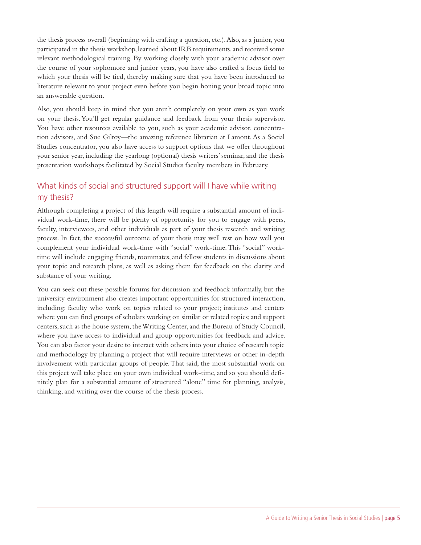the thesis process overall (beginning with crafting a question, etc.). Also, as a junior, you participated in the thesis workshop, learned about IRB requirements, and received some relevant methodological training. By working closely with your academic advisor over the course of your sophomore and junior years, you have also crafted a focus field to which your thesis will be tied, thereby making sure that you have been introduced to literature relevant to your project even before you begin honing your broad topic into an answerable question.

Also, you should keep in mind that you aren't completely on your own as you work on your thesis. You'll get regular guidance and feedback from your thesis supervisor. You have other resources available to you, such as your academic advisor, concentration advisors, and Sue Gilroy—the amazing reference librarian at Lamont. As a Social Studies concentrator, you also have access to support options that we offer throughout your senior year, including the yearlong (optional) thesis writers' seminar, and the thesis presentation workshops facilitated by Social Studies faculty members in February.

### What kinds of social and structured support will I have while writing my thesis?

Although completing a project of this length will require a substantial amount of individual work-time, there will be plenty of opportunity for you to engage with peers, faculty, interviewees, and other individuals as part of your thesis research and writing process. In fact, the successful outcome of your thesis may well rest on how well you complement your individual work-time with "social" work-time. This "social" worktime will include engaging friends, roommates, and fellow students in discussions about your topic and research plans, as well as asking them for feedback on the clarity and substance of your writing.

You can seek out these possible forums for discussion and feedback informally, but the university environment also creates important opportunities for structured interaction, including: faculty who work on topics related to your project; institutes and centers where you can find groups of scholars working on similar or related topics; and support centers, such as the house system, the Writing Center, and the Bureau of Study Council, where you have access to individual and group opportunities for feedback and advice. You can also factor your desire to interact with others into your choice of research topic and methodology by planning a project that will require interviews or other in-depth involvement with particular groups of people. That said, the most substantial work on this project will take place on your own individual work-time, and so you should definitely plan for a substantial amount of structured "alone" time for planning, analysis, thinking, and writing over the course of the thesis process.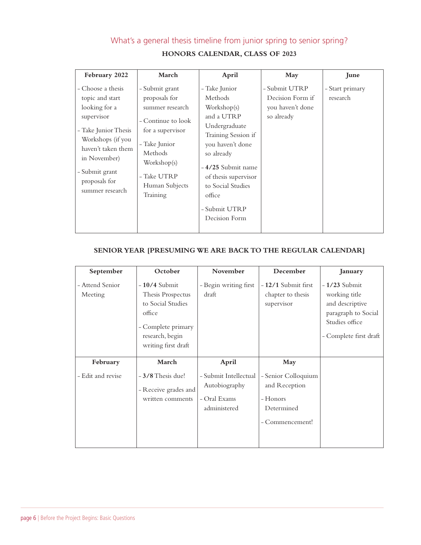# What's a general thesis timeline from junior spring to senior spring?

|  | <b>HONORS CALENDAR, CLASS OF 2023</b> |  |  |  |
|--|---------------------------------------|--|--|--|
|--|---------------------------------------|--|--|--|

| February 2022                                                                                                                                                                                                | March                                                                                                                                                                                | April                                                                                                                                                                                                                                         | May                                                                 | June                        |
|--------------------------------------------------------------------------------------------------------------------------------------------------------------------------------------------------------------|--------------------------------------------------------------------------------------------------------------------------------------------------------------------------------------|-----------------------------------------------------------------------------------------------------------------------------------------------------------------------------------------------------------------------------------------------|---------------------------------------------------------------------|-----------------------------|
| - Choose a thesis<br>topic and start<br>looking for a<br>supervisor<br>- Take Junior Thesis<br>Workshops (if you<br>haven't taken them<br>in November)<br>- Submit grant<br>proposals for<br>summer research | - Submit grant<br>proposals for<br>summer research<br>- Continue to look<br>for a supervisor<br>- Take Junior<br>Methods<br>Workshop(s)<br>- Take UTRP<br>Human Subjects<br>Training | - Take Junior<br>Methods<br>Workshop(s)<br>and a UTRP<br>Undergraduate<br>Training Session if<br>you haven't done<br>so already<br>-4/25 Submit name<br>of thesis supervisor<br>to Social Studies<br>office<br>- Submit UTRP<br>Decision Form | - Submit UTRP<br>Decision Form if<br>you haven't done<br>so already | - Start primary<br>research |

### **SENIOR YEAR [PRESUMING WE ARE BACK TO THE REGULAR CALENDAR]**

| September                  | October                                                                                                                            | November                                                               | December                                                                          | January                                                                                                               |
|----------------------------|------------------------------------------------------------------------------------------------------------------------------------|------------------------------------------------------------------------|-----------------------------------------------------------------------------------|-----------------------------------------------------------------------------------------------------------------------|
| - Attend Senior<br>Meeting | $-10/4$ Submit<br>Thesis Prospectus<br>to Social Studies<br>office<br>- Complete primary<br>research, begin<br>writing first draft | - Begin writing first<br>draft                                         | - 12/1 Submit first<br>chapter to thesis<br>supervisor                            | $-1/23$ Submit<br>working title<br>and descriptive<br>paragraph to Social<br>Studies office<br>- Complete first draft |
| February                   | March                                                                                                                              | April                                                                  | May                                                                               |                                                                                                                       |
| - Edit and revise          | $-3/8$ Thesis due!<br>- Receive grades and<br>written comments                                                                     | - Submit Intellectual<br>Autobiography<br>- Oral Exams<br>administered | - Senior Colloquium<br>and Reception<br>- Honors<br>Determined<br>- Commencement! |                                                                                                                       |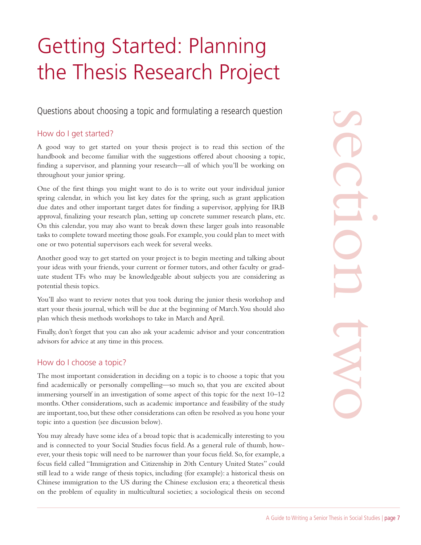# Getting Started: Planning the Thesis Research Project

Questions about choosing a topic and formulating a research question

### How do I get started?

A good way to get started on your thesis project is to read this section of the handbook and become familiar with the suggestions offered about choosing a topic, finding a supervisor, and planning your research—all of which you'll be working on throughout your junior spring.

One of the first things you might want to do is to write out your individual junior spring calendar, in which you list key dates for the spring, such as grant application due dates and other important target dates for finding a supervisor, applying for IRB approval, finalizing your research plan, setting up concrete summer research plans, etc. On this calendar, you may also want to break down these larger goals into reasonable tasks to complete toward meeting those goals. For example, you could plan to meet with one or two potential supervisors each week for several weeks.

Another good way to get started on your project is to begin meeting and talking about your ideas with your friends, your current or former tutors, and other faculty or graduate student TFs who may be knowledgeable about subjects you are considering as potential thesis topics.

You'll also want to review notes that you took during the junior thesis workshop and start your thesis journal, which will be due at the beginning of March. You should also plan which thesis methods workshops to take in March and April.

Finally, don't forget that you can also ask your academic advisor and your concentration advisors for advice at any time in this process.

### How do I choose a topic?

The most important consideration in deciding on a topic is to choose a topic that you find academically or personally compelling—so much so, that you are excited about immersing yourself in an investigation of some aspect of this topic for the next 10–12 months. Other considerations, such as academic importance and feasibility of the study are important, too, but these other considerations can often be resolved as you hone your topic into a question (see discussion below).

You may already have some idea of a broad topic that is academically interesting to you and is connected to your Social Studies focus field. As a general rule of thumb, however, your thesis topic will need to be narrower than your focus field. So, for example, a focus field called "Immigration and Citizenship in 20th Century United States" could still lead to a wide range of thesis topics, including (for example): a historical thesis on Chinese immigration to the US during the Chinese exclusion era; a theoretical thesis on the problem of equality in multicultural societies; a sociological thesis on second

of the topic,<br>topic,<br>tight on the topic,<br>the topic,<br>allowing on<br>responsible truth and a space of the state of the state of the state<br>of grad-<br>ting as<br>exaction the state of the state of the state<br>cond<br>the to which the state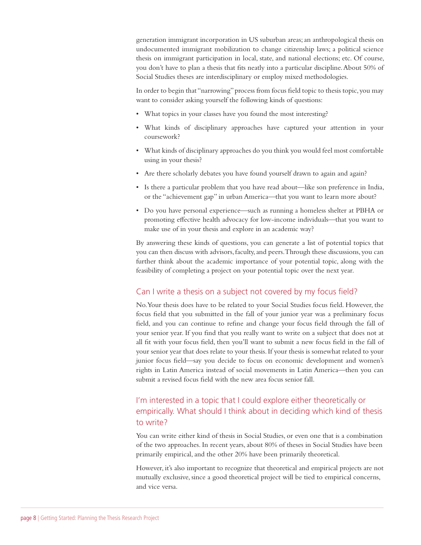generation immigrant incorporation in US suburban areas; an anthropological thesis on undocumented immigrant mobilization to change citizenship laws; a political science thesis on immigrant participation in local, state, and national elections; etc. Of course, you don't have to plan a thesis that fits neatly into a particular discipline. About 50% of Social Studies theses are interdisciplinary or employ mixed methodologies.

In order to begin that "narrowing" process from focus field topic to thesis topic, you may want to consider asking yourself the following kinds of questions:

- What topics in your classes have you found the most interesting?
- What kinds of disciplinary approaches have captured your attention in your coursework?
- What kinds of disciplinary approaches do you think you would feel most comfortable using in your thesis?
- Are there scholarly debates you have found yourself drawn to again and again?
- Is there a particular problem that you have read about—like son preference in India, or the "achievement gap" in urban America—that you want to learn more about?
- Do you have personal experience—such as running a homeless shelter at PBHA or promoting effective health advocacy for low-income individuals—that you want to make use of in your thesis and explore in an academic way?

By answering these kinds of questions, you can generate a list of potential topics that you can then discuss with advisors, faculty, and peers. Through these discussions, you can further think about the academic importance of your potential topic, along with the feasibility of completing a project on your potential topic over the next year.

### Can I write a thesis on a subject not covered by my focus field?

No. Your thesis does have to be related to your Social Studies focus field. However, the focus field that you submitted in the fall of your junior year was a preliminary focus field, and you can continue to refine and change your focus field through the fall of your senior year. If you find that you really want to write on a subject that does not at all fit with your focus field, then you'll want to submit a new focus field in the fall of your senior year that does relate to your thesis. If your thesis is somewhat related to your junior focus field—say you decide to focus on economic development and women's rights in Latin America instead of social movements in Latin America—then you can submit a revised focus field with the new area focus senior fall.

### I'm interested in a topic that I could explore either theoretically or empirically. What should I think about in deciding which kind of thesis to write?

You can write either kind of thesis in Social Studies, or even one that is a combination of the two approaches. In recent years, about 80% of theses in Social Studies have been primarily empirical, and the other 20% have been primarily theoretical.

However, it's also important to recognize that theoretical and empirical projects are not mutually exclusive, since a good theoretical project will be tied to empirical concerns, and vice versa.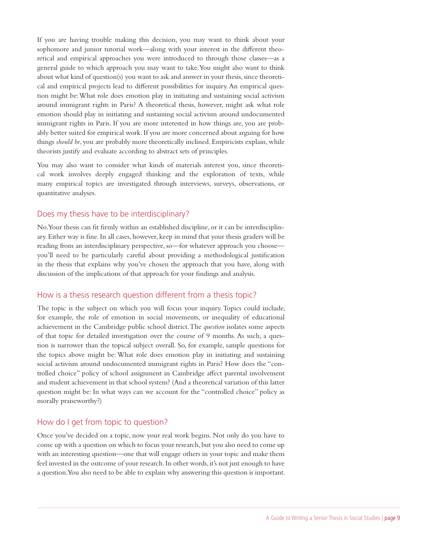If you are having trouble making this decision, you may want to think about your sophomore and junior tutorial work—along with your interest in the different theoretical and empirical approaches you were introduced to through those classes—as a general guide to which approach you may want to take. You might also want to think about what kind of question(s) you want to ask and answer in your thesis, since theoretical and empirical projects lead to different possibilities for inquiry. An empirical question might be: What role does emotion play in initiating and sustaining social activism around immigrant rights in Paris? A theoretical thesis, however, might ask what role emotion should play in initiating and sustaining social activism around undocumented immigrant rights in Paris. If you are more interested in how things are, you are probably better suited for empirical work. If you are more concerned about arguing for how things *should be*, you are probably more theoretically inclined. Empiricists explain, while theorists justify and evaluate according to abstract sets of principles.

You may also want to consider what kinds of materials interest you, since theoretical work involves deeply engaged thinking and the exploration of texts, while many empirical topics are investigated through interviews, surveys, observations, or quantitative analyses.

### Does my thesis have to be interdisciplinary?

No. Your thesis can fit firmly within an established discipline, or it can be interdisciplinary. Either way is fine. In all cases, however, keep in mind that your thesis graders will be reading from an interdisciplinary perspective, so—for whatever approach you choose you'll need to be particularly careful about providing a methodological justification in the thesis that explains why you've chosen the approach that you have, along with discussion of the implications of that approach for your findings and analysis.

### How is a thesis research question different from a thesis topic?

The topic is the subject on which you will focus your inquiry. Topics could include, for example, the role of emotion in social movements, or inequality of educational achievement in the Cambridge public school district. The *question* isolates some aspects of that topic for detailed investigation over the course of 9 months. As such, a question is narrower than the topical subject overall. So, for example, sample questions for the topics above might be: What role does emotion play in initiating and sustaining social activism around undocumented immigrant rights in Paris? How does the "controlled choice" policy of school assignment in Cambridge affect parental involvement and student achievement in that school system? (And a theoretical variation of this latter question might be: In what ways can we account for the "controlled choice" policy as morally praiseworthy?)

### How do I get from topic to question?

Once you've decided on a topic, now your real work begins. Not only do you have to come up with a question on which to focus your research, but you also need to come up with an interesting question—one that will engage others in your topic and make them feel invested in the outcome of your research. In other words, it's not just enough to have a question. You also need to be able to explain why answering this question is important.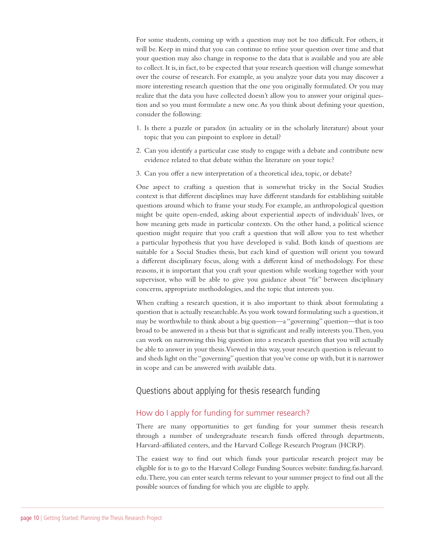For some students, coming up with a question may not be too difficult. For others, it will be. Keep in mind that you can continue to refine your question over time and that your question may also change in response to the data that is available and you are able to collect. It is, in fact, to be expected that your research question will change somewhat over the course of research. For example, as you analyze your data you may discover a more interesting research question that the one you originally formulated. Or you may realize that the data you have collected doesn't allow you to answer your original question and so you must formulate a new one. As you think about defining your question, consider the following:

- 1. Is there a puzzle or paradox (in actuality or in the scholarly literature) about your topic that you can pinpoint to explore in detail?
- 2. Can you identify a particular case study to engage with a debate and contribute new evidence related to that debate within the literature on your topic?
- 3. Can you offer a new interpretation of a theoretical idea, topic, or debate?

One aspect to crafting a question that is somewhat tricky in the Social Studies context is that different disciplines may have different standards for establishing suitable questions around which to frame your study. For example, an anthropological question might be quite open-ended, asking about experiential aspects of individuals' lives, or how meaning gets made in particular contexts. On the other hand, a political science question might require that you craft a question that will allow you to test whether a particular hypothesis that you have developed is valid. Both kinds of questions are suitable for a Social Studies thesis, but each kind of question will orient you toward a different disciplinary focus, along with a different kind of methodology. For these reasons, it is important that you craft your question while working together with your supervisor, who will be able to give you guidance about "fit" between disciplinary concerns, appropriate methodologies, and the topic that interests you.

When crafting a research question, it is also important to think about formulating a question that is actually researchable. As you work toward formulating such a question, it may be worthwhile to think about a big question—a "governing" question—that is too broad to be answered in a thesis but that is significant and really interests you. Then, you can work on narrowing this big question into a research question that you will actually be able to answer in your thesis. Viewed in this way, your research question is relevant to and sheds light on the "governing" question that you've come up with, but it is narrower in scope and can be answered with available data.

### Questions about applying for thesis research funding

### How do I apply for funding for summer research?

There are many opportunities to get funding for your summer thesis research through a number of undergraduate research funds offered through departments, Harvard-affiliated centers, and the Harvard College Research Program (HCRP).

The easiest way to find out which funds your particular research project may be eligible for is to go to the Harvard College Funding Sources website: funding.fas.harvard. edu. There, you can enter search terms relevant to your summer project to find out all the possible sources of funding for which you are eligible to apply.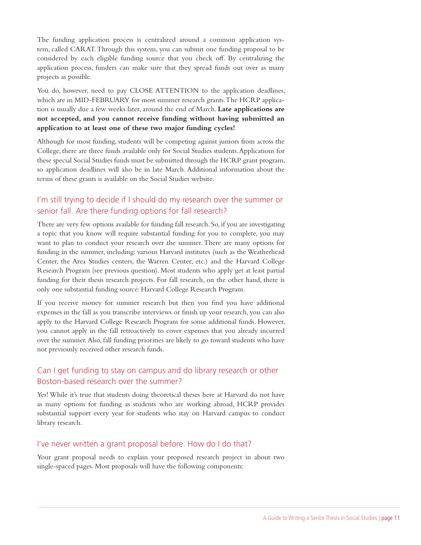The funding application process is centralized around a common application system, called CARAT. Through this system, you can submit one funding proposal to be considered by each eligible funding source that you check off. By centralizing the application process, funders can make sure that they spread funds out over as many projects as possible.

You do, however, need to pay CLOSE ATTENTION to the application deadlines, which are in MID-FEBRUARY for most summer research grants. The HCRP application is usually due a few weeks later, around the end of March. **Late applications are not accepted, and you cannot receive funding without having submitted an application to at least one of these two major funding cycles!**

Although for most funding, students will be competing against juniors from across the College, there are three funds available only for Social Studies students. Applications for these special Social Studies funds must be submitted through the HCRP grant program, so application deadlines will also be in late March. Additional information about the terms of these grants is available on the Social Studies website.

### I'm still trying to decide if I should do my research over the summer or senior fall. Are there funding options for fall research?

There are very few options available for funding fall research. So, if you are investigating a topic that you know will require substantial funding for you to complete, you may want to plan to conduct your research over the summer. There are many options for funding in the summer, including: various Harvard institutes (such as the Weatherhead Center, the Area Studies centers, the Warren Center, etc.) and the Harvard College Research Program (see previous question). Most students who apply get at least partial funding for their thesis research projects. For fall research, on the other hand, there is only one substantial funding source: Harvard College Research Program.

If you receive money for summer research but then you find you have additional expenses in the fall as you transcribe interviews or finish up your research, you can also apply to the Harvard College Research Program for some additional funds. However, you cannot apply in the fall retroactively to cover expenses that you already incurred over the summer. Also, fall funding priorities are likely to go toward students who have not previously received other research funds.

### Can I get funding to stay on campus and do library research or other Boston-based research over the summer?

Yes! While it's true that students doing theoretical theses here at Harvard do not have as many options for funding as students who are working abroad, HCRP provides substantial support every year for students who stay on Harvard campus to conduct library research.

### I've never written a grant proposal before. How do I do that?

Your grant proposal needs to explain your proposed research project in about two single-spaced pages. Most proposals will have the following components: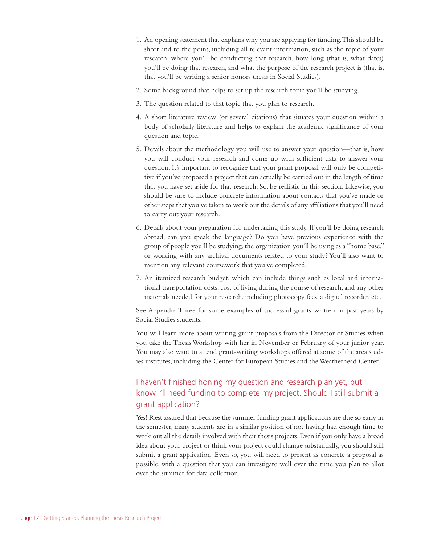- 1. An opening statement that explains why you are applying for funding. This should be short and to the point, including all relevant information, such as the topic of your research, where you'll be conducting that research, how long (that is, what dates) you'll be doing that research, and what the purpose of the research project is (that is, that you'll be writing a senior honors thesis in Social Studies).
- 2. Some background that helps to set up the research topic you'll be studying.
- 3. The question related to that topic that you plan to research.
- 4. A short literature review (or several citations) that situates your question within a body of scholarly literature and helps to explain the academic significance of your question and topic.
- 5. Details about the methodology you will use to answer your question—that is, how you will conduct your research and come up with sufficient data to answer your question. It's important to recognize that your grant proposal will only be competitive if you've proposed a project that can actually be carried out in the length of time that you have set aside for that research. So, be realistic in this section. Likewise, you should be sure to include concrete information about contacts that you've made or other steps that you've taken to work out the details of any affiliations that you'll need to carry out your research.
- 6. Details about your preparation for undertaking this study. If you'll be doing research abroad, can you speak the language? Do you have previous experience with the group of people you'll be studying, the organization you'll be using as a "home base," or working with any archival documents related to your study? You'll also want to mention any relevant coursework that you've completed.
- 7. An itemized research budget, which can include things such as local and international transportation costs, cost of living during the course of research, and any other materials needed for your research, including photocopy fees, a digital recorder, etc.

See Appendix Three for some examples of successful grants written in past years by Social Studies students.

You will learn more about writing grant proposals from the Director of Studies when you take the Thesis Workshop with her in November or February of your junior year. You may also want to attend grant-writing workshops offered at some of the area studies institutes, including the Center for European Studies and the Weatherhead Center.

### I haven't finished honing my question and research plan yet, but I know I'll need funding to complete my project. Should I still submit a grant application?

Yes! Rest assured that because the summer funding grant applications are due so early in the semester, many students are in a similar position of not having had enough time to work out all the details involved with their thesis projects. Even if you only have a broad idea about your project or think your project could change substantially, you should still submit a grant application. Even so, you will need to present as concrete a proposal as possible, with a question that you can investigate well over the time you plan to allot over the summer for data collection.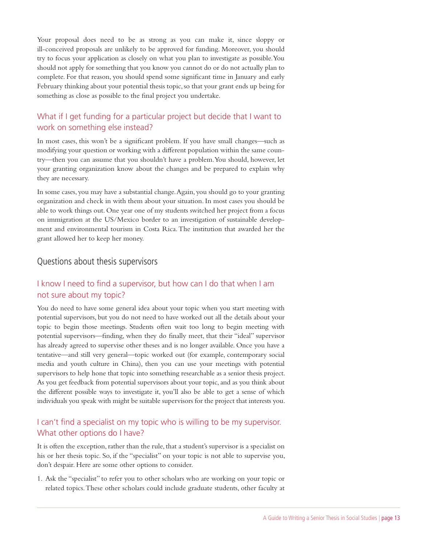Your proposal does need to be as strong as you can make it, since sloppy or ill-conceived proposals are unlikely to be approved for funding. Moreover, you should try to focus your application as closely on what you plan to investigate as possible. You should not apply for something that you know you cannot do or do not actually plan to complete. For that reason, you should spend some significant time in January and early February thinking about your potential thesis topic, so that your grant ends up being for something as close as possible to the final project you undertake.

### What if I get funding for a particular project but decide that I want to work on something else instead?

In most cases, this won't be a significant problem. If you have small changes—such as modifying your question or working with a different population within the same country—then you can assume that you shouldn't have a problem. You should, however, let your granting organization know about the changes and be prepared to explain why they are necessary.

In some cases, you may have a substantial change. Again, you should go to your granting organization and check in with them about your situation. In most cases you should be able to work things out. One year one of my students switched her project from a focus on immigration at the US/Mexico border to an investigation of sustainable development and environmental tourism in Costa Rica. The institution that awarded her the grant allowed her to keep her money.

### Questions about thesis supervisors

### I know I need to find a supervisor, but how can I do that when I am not sure about my topic?

You do need to have some general idea about your topic when you start meeting with potential supervisors, but you do not need to have worked out all the details about your topic to begin those meetings. Students often wait too long to begin meeting with potential supervisors—finding, when they do finally meet, that their "ideal" supervisor has already agreed to supervise other theses and is no longer available. Once you have a tentative—and still very general—topic worked out (for example, contemporary social media and youth culture in China), then you can use your meetings with potential supervisors to help hone that topic into something researchable as a senior thesis project. As you get feedback from potential supervisors about your topic, and as you think about the different possible ways to investigate it, you'll also be able to get a sense of which individuals you speak with might be suitable supervisors for the project that interests you.

### I can't find a specialist on my topic who is willing to be my supervisor. What other options do I have?

It is often the exception, rather than the rule, that a student's supervisor is a specialist on his or her thesis topic. So, if the "specialist" on your topic is not able to supervise you, don't despair. Here are some other options to consider.

1. Ask the "specialist" to refer you to other scholars who are working on your topic or related topics. These other scholars could include graduate students, other faculty at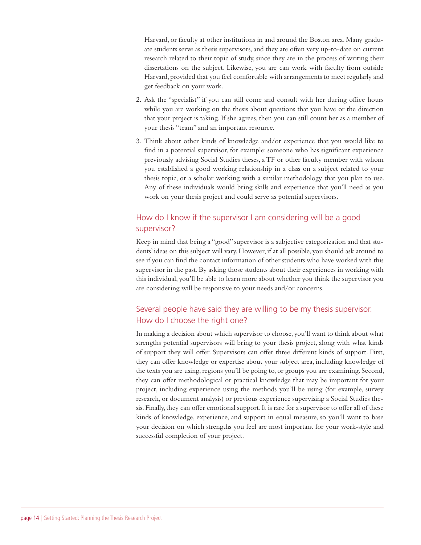Harvard, or faculty at other institutions in and around the Boston area. Many graduate students serve as thesis supervisors, and they are often very up-to-date on current research related to their topic of study, since they are in the process of writing their dissertations on the subject. Likewise, you are can work with faculty from outside Harvard, provided that you feel comfortable with arrangements to meet regularly and get feedback on your work.

- 2. Ask the "specialist" if you can still come and consult with her during office hours while you are working on the thesis about questions that you have or the direction that your project is taking. If she agrees, then you can still count her as a member of your thesis "team" and an important resource.
- 3. Think about other kinds of knowledge and/or experience that you would like to find in a potential supervisor, for example: someone who has significant experience previously advising Social Studies theses, a TF or other faculty member with whom you established a good working relationship in a class on a subject related to your thesis topic, or a scholar working with a similar methodology that you plan to use. Any of these individuals would bring skills and experience that you'll need as you work on your thesis project and could serve as potential supervisors.

### How do I know if the supervisor I am considering will be a good supervisor?

Keep in mind that being a "good" supervisor is a subjective categorization and that students' ideas on this subject will vary. However, if at all possible, you should ask around to see if you can find the contact information of other students who have worked with this supervisor in the past. By asking those students about their experiences in working with this individual, you'll be able to learn more about whether you think the supervisor you are considering will be responsive to your needs and/or concerns.

### Several people have said they are willing to be my thesis supervisor. How do I choose the right one?

In making a decision about which supervisor to choose, you'll want to think about what strengths potential supervisors will bring to your thesis project, along with what kinds of support they will offer. Supervisors can offer three different kinds of support. First, they can offer knowledge or expertise about your subject area, including knowledge of the texts you are using, regions you'll be going to, or groups you are examining. Second, they can offer methodological or practical knowledge that may be important for your project, including experience using the methods you'll be using (for example, survey research, or document analysis) or previous experience supervising a Social Studies thesis. Finally, they can offer emotional support. It is rare for a supervisor to offer all of these kinds of knowledge, experience, and support in equal measure, so you'll want to base your decision on which strengths you feel are most important for your work-style and successful completion of your project.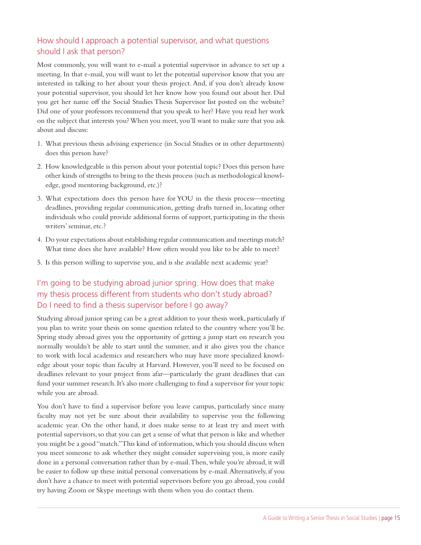### How should I approach a potential supervisor, and what questions should I ask that person?

Most commonly, you will want to e-mail a potential supervisor in advance to set up a meeting. In that e-mail, you will want to let the potential supervisor know that you are interested in talking to her about your thesis project. And, if you don't already know your potential supervisor, you should let her know how you found out about her. Did you get her name off the Social Studies Thesis Supervisor list posted on the website? Did one of your professors recommend that you speak to her? Have you read her work on the subject that interests you? When you meet, you'll want to make sure that you ask about and discuss:

- 1. What previous thesis advising experience (in Social Studies or in other departments) does this person have?
- 2. How knowledgeable is this person about your potential topic? Does this person have other kinds of strengths to bring to the thesis process (such as methodological knowledge, good mentoring background, etc.)?
- 3. What expectations does this person have for YOU in the thesis process—meeting deadlines, providing regular communication, getting drafts turned in, locating other individuals who could provide additional forms of support, participating in the thesis writers' seminar, etc.?
- 4. Do your expectations about establishing regular communication and meetings match? What time does she have available? How often would you like to be able to meet?
- 5. Is this person willing to supervise you, and is she available next academic year?

### I'm going to be studying abroad junior spring. How does that make my thesis process different from students who don't study abroad? Do I need to find a thesis supervisor before I go away?

Studying abroad junior spring can be a great addition to your thesis work, particularly if you plan to write your thesis on some question related to the country where you'll be. Spring study abroad gives you the opportunity of getting a jump start on research you normally wouldn't be able to start until the summer, and it also gives you the chance to work with local academics and researchers who may have more specialized knowledge about your topic than faculty at Harvard. However, you'll need to be focused on deadlines relevant to your project from afar—particularly the grant deadlines that can fund your summer research. It's also more challenging to find a supervisor for your topic while you are abroad.

You don't have to find a supervisor before you leave campus, particularly since many faculty may not yet be sure about their availability to supervise you the following academic year. On the other hand, it does make sense to at least try and meet with potential supervisors, so that you can get a sense of what that person is like and whether you might be a good "match." This kind of information, which you should discuss when you meet someone to ask whether they might consider supervising you, is more easily done in a personal conversation rather than by e-mail. Then, while you're abroad, it will be easier to follow up these initial personal conversations by e-mail. Alternatively, if you don't have a chance to meet with potential supervisors before you go abroad, you could try having Zoom or Skype meetings with them when you do contact them.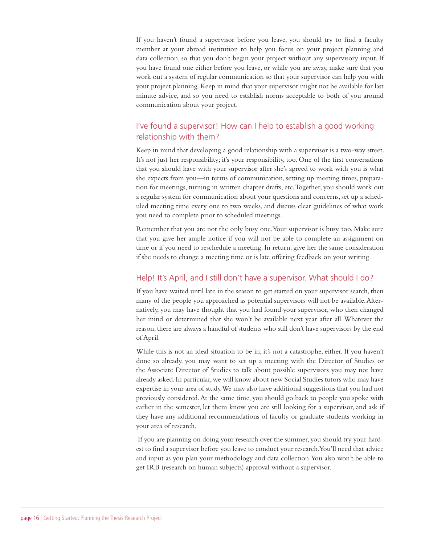If you haven't found a supervisor before you leave, you should try to find a faculty member at your abroad institution to help you focus on your project planning and data collection, so that you don't begin your project without any supervisory input. If you have found one either before you leave, or while you are away, make sure that you work out a system of regular communication so that your supervisor can help you with your project planning. Keep in mind that your supervisor might not be available for last minute advice, and so you need to establish norms acceptable to both of you around communication about your project.

### I've found a supervisor! How can I help to establish a good working relationship with them?

Keep in mind that developing a good relationship with a supervisor is a two-way street. It's not just her responsibility; it's your responsibility, too. One of the first conversations that you should have with your supervisor after she's agreed to work with you is what she expects from you—in terms of communication, setting up meeting times, preparation for meetings, turning in written chapter drafts, etc. Together, you should work out a regular system for communication about your questions and concerns, set up a scheduled meeting time every one to two weeks, and discuss clear guidelines of what work you need to complete prior to scheduled meetings.

Remember that you are not the only busy one. Your supervisor is busy, too. Make sure that you give her ample notice if you will not be able to complete an assignment on time or if you need to reschedule a meeting. In return, give her the same consideration if she needs to change a meeting time or is late offering feedback on your writing.

### Help! It's April, and I still don't have a supervisor. What should I do?

If you have waited until late in the season to get started on your supervisor search, then many of the people you approached as potential supervisors will not be available. Alternatively, you may have thought that you had found your supervisor, who then changed her mind or determined that she won't be available next year after all. Whatever the reason, there are always a handful of students who still don't have supervisors by the end of April.

While this is not an ideal situation to be in, it's not a catastrophe, either. If you haven't done so already, you may want to set up a meeting with the Director of Studies or the Associate Director of Studies to talk about possible supervisors you may not have already asked. In particular, we will know about new Social Studies tutors who may have expertise in your area of study. We may also have additional suggestions that you had not previously considered. At the same time, you should go back to people you spoke with earlier in the semester, let them know you are still looking for a supervisor, and ask if they have any additional recommendations of faculty or graduate students working in your area of research.

 If you are planning on doing your research over the summer, you should try your hardest to find a supervisor before you leave to conduct your research. You'll need that advice and input as you plan your methodology and data collection. You also won't be able to get IRB (research on human subjects) approval without a supervisor.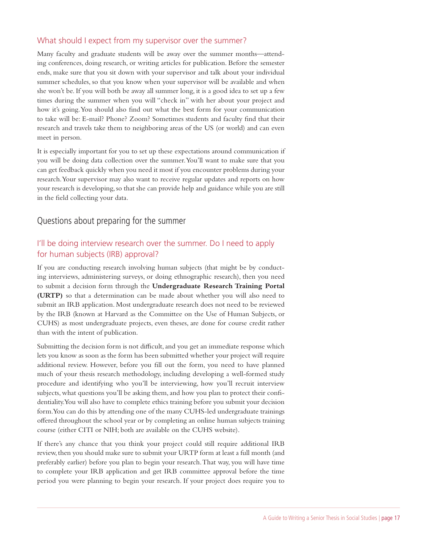### What should I expect from my supervisor over the summer?

Many faculty and graduate students will be away over the summer months—attending conferences, doing research, or writing articles for publication. Before the semester ends, make sure that you sit down with your supervisor and talk about your individual summer schedules, so that you know when your supervisor will be available and when she won't be. If you will both be away all summer long, it is a good idea to set up a few times during the summer when you will "check in" with her about your project and how it's going. You should also find out what the best form for your communication to take will be: E-mail? Phone? Zoom? Sometimes students and faculty find that their research and travels take them to neighboring areas of the US (or world) and can even meet in person.

It is especially important for you to set up these expectations around communication if you will be doing data collection over the summer. You'll want to make sure that you can get feedback quickly when you need it most if you encounter problems during your research. Your supervisor may also want to receive regular updates and reports on how your research is developing, so that she can provide help and guidance while you are still in the field collecting your data.

### Questions about preparing for the summer

### I'll be doing interview research over the summer. Do I need to apply for human subjects (IRB) approval?

If you are conducting research involving human subjects (that might be by conducting interviews, administering surveys, or doing ethnographic research), then you need to submit a decision form through the **Undergraduate Research Training Portal (URTP)** so that a determination can be made about whether you will also need to submit an IRB application. Most undergraduate research does not need to be reviewed by the IRB (known at Harvard as the Committee on the Use of Human Subjects, or CUHS) as most undergraduate projects, even theses, are done for course credit rather than with the intent of publication.

Submitting the decision form is not difficult, and you get an immediate response which lets you know as soon as the form has been submitted whether your project will require additional review. However, before you fill out the form, you need to have planned much of your thesis research methodology, including developing a well-formed study procedure and identifying who you'll be interviewing, how you'll recruit interview subjects, what questions you'll be asking them, and how you plan to protect their confidentiality. You will also have to complete ethics training before you submit your decision form. You can do this by attending one of the many CUHS-led undergraduate trainings offered throughout the school year or by completing an online human subjects training course (either CITI or NIH; both are available on the CUHS website).

If there's any chance that you think your project could still require additional IRB review, then you should make sure to submit your URTP form at least a full month (and preferably earlier) before you plan to begin your research. That way, you will have time to complete your IRB application and get IRB committee approval before the time period you were planning to begin your research. If your project does require you to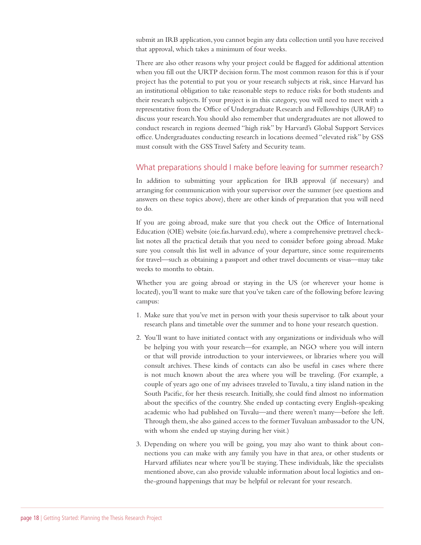submit an IRB application, you cannot begin any data collection until you have received that approval, which takes a minimum of four weeks.

There are also other reasons why your project could be flagged for additional attention when you fill out the URTP decision form. The most common reason for this is if your project has the potential to put you or your research subjects at risk, since Harvard has an institutional obligation to take reasonable steps to reduce risks for both students and their research subjects. If your project is in this category, you will need to meet with a representative from the Office of Undergraduate Research and Fellowships (URAF) to discuss your research. You should also remember that undergraduates are not allowed to conduct research in regions deemed "high risk" by Harvard's Global Support Services office. Undergraduates conducting research in locations deemed "elevated risk" by GSS must consult with the GSS Travel Safety and Security team.

### What preparations should I make before leaving for summer research?

In addition to submitting your application for IRB approval (if necessary) and arranging for communication with your supervisor over the summer (see questions and answers on these topics above), there are other kinds of preparation that you will need to do.

If you are going abroad, make sure that you check out the Office of International Education (OIE) website (oie.fas.harvard.edu), where a comprehensive pretravel checklist notes all the practical details that you need to consider before going abroad. Make sure you consult this list well in advance of your departure, since some requirements for travel—such as obtaining a passport and other travel documents or visas—may take weeks to months to obtain.

Whether you are going abroad or staying in the US (or wherever your home is located), you'll want to make sure that you've taken care of the following before leaving campus:

- 1. Make sure that you've met in person with your thesis supervisor to talk about your research plans and timetable over the summer and to hone your research question.
- 2. You'll want to have initiated contact with any organizations or individuals who will be helping you with your research—for example, an NGO where you will intern or that will provide introduction to your interviewees, or libraries where you will consult archives. These kinds of contacts can also be useful in cases where there is not much known about the area where you will be traveling. (For example, a couple of years ago one of my advisees traveled to Tuvalu, a tiny island nation in the South Pacific, for her thesis research. Initially, she could find almost no information about the specifics of the country. She ended up contacting every English-speaking academic who had published on Tuvalu—and there weren't many—before she left. Through them, she also gained access to the former Tuvaluan ambassador to the UN, with whom she ended up staying during her visit.)
- 3. Depending on where you will be going, you may also want to think about connections you can make with any family you have in that area, or other students or Harvard affiliates near where you'll be staying. These individuals, like the specialists mentioned above, can also provide valuable information about local logistics and onthe-ground happenings that may be helpful or relevant for your research.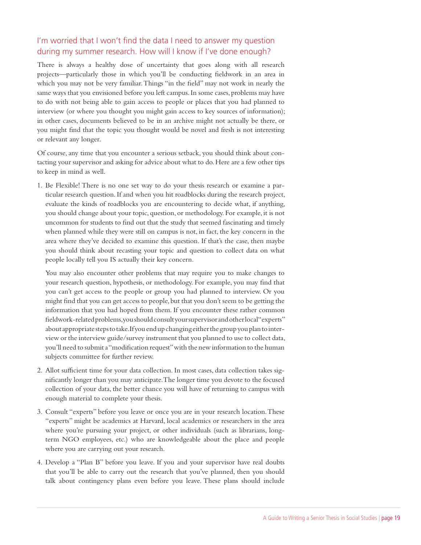### I'm worried that I won't find the data I need to answer my question during my summer research. How will I know if I've done enough?

There is always a healthy dose of uncertainty that goes along with all research projects—particularly those in which you'll be conducting fieldwork in an area in which you may not be very familiar. Things "in the field" may not work in nearly the same ways that you envisioned before you left campus. In some cases, problems may have to do with not being able to gain access to people or places that you had planned to interview (or where you thought you might gain access to key sources of information); in other cases, documents believed to be in an archive might not actually be there, or you might find that the topic you thought would be novel and fresh is not interesting or relevant any longer.

Of course, any time that you encounter a serious setback, you should think about contacting your supervisor and asking for advice about what to do. Here are a few other tips to keep in mind as well.

1. Be Flexible! There is no one set way to do your thesis research or examine a particular research question. If and when you hit roadblocks during the research project, evaluate the kinds of roadblocks you are encountering to decide what, if anything, you should change about your topic, question, or methodology. For example, it is not uncommon for students to find out that the study that seemed fascinating and timely when planned while they were still on campus is not, in fact, the key concern in the area where they've decided to examine this question. If that's the case, then maybe you should think about recasting your topic and question to collect data on what people locally tell you IS actually their key concern.

You may also encounter other problems that may require you to make changes to your research question, hypothesis, or methodology. For example, you may find that you can't get access to the people or group you had planned to interview. Or you might find that you can get access to people, but that you don't seem to be getting the information that you had hoped from them. If you encounter these rather common fieldwork-related problems, you should consult your supervisor and other local "experts" about appropriate steps to take. If you end up changing either the group you plan to interview or the interview guide/survey instrument that you planned to use to collect data, you'll need to submit a "modification request" with the new information to the human subjects committee for further review.

- 2. Allot sufficient time for your data collection. In most cases, data collection takes significantly longer than you may anticipate. The longer time you devote to the focused collection of your data, the better chance you will have of returning to campus with enough material to complete your thesis.
- 3. Consult "experts" before you leave or once you are in your research location. These "experts" might be academics at Harvard, local academics or researchers in the area where you're pursuing your project, or other individuals (such as librarians, longterm NGO employees, etc.) who are knowledgeable about the place and people where you are carrying out your research.
- 4. Develop a "Plan B" before you leave. If you and your supervisor have real doubts that you'll be able to carry out the research that you've planned, then you should talk about contingency plans even before you leave. These plans should include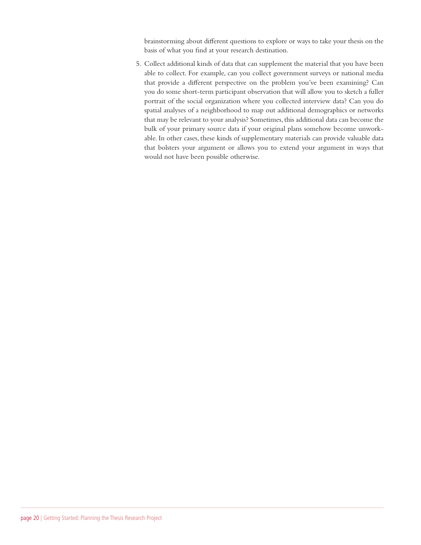brainstorming about different questions to explore or ways to take your thesis on the basis of what you find at your research destination.

5. Collect additional kinds of data that can supplement the material that you have been able to collect. For example, can you collect government surveys or national media that provide a different perspective on the problem you've been examining? Can you do some short-term participant observation that will allow you to sketch a fuller portrait of the social organization where you collected interview data? Can you do spatial analyses of a neighborhood to map out additional demographics or networks that may be relevant to your analysis? Sometimes, this additional data can become the bulk of your primary source data if your original plans somehow become unworkable. In other cases, these kinds of supplementary materials can provide valuable data that bolsters your argument or allows you to extend your argument in ways that would not have been possible otherwise.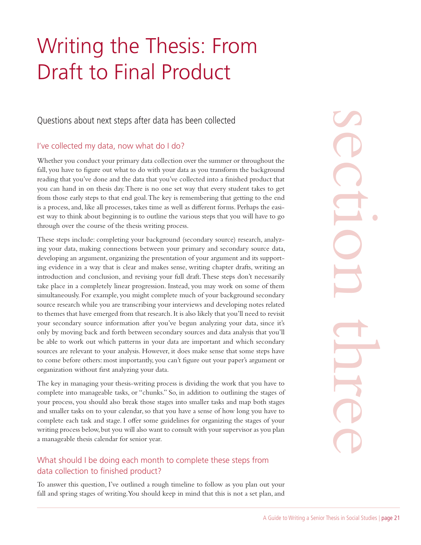# Writing the Thesis: From Draft to Final Product

Questions about next steps after data has been collected

### I've collected my data, now what do I do?

Whether you conduct your primary data collection over the summer or throughout the fall, you have to figure out what to do with your data as you transform the background reading that you've done and the data that you've collected into a finished product that you can hand in on thesis day. There is no one set way that every student takes to get from those early steps to that end goal. The key is remembering that getting to the end is a process, and, like all processes, takes time as well as different forms. Perhaps the easiest way to think about beginning is to outline the various steps that you will have to go through over the course of the thesis writing process.

These steps include: completing your background (secondary source) research, analyzing your data, making connections between your primary and secondary source data, developing an argument, organizing the presentation of your argument and its supporting evidence in a way that is clear and makes sense, writing chapter drafts, writing an introduction and conclusion, and revising your full draft. These steps don't necessarily take place in a completely linear progression. Instead, you may work on some of them simultaneously. For example, you might complete much of your background secondary source research while you are transcribing your interviews and developing notes related to themes that have emerged from that research. It is also likely that you'll need to revisit your secondary source information after you've begun analyzing your data, since it's only by moving back and forth between secondary sources and data analysis that you'll be able to work out which patterns in your data are important and which secondary sources are relevant to your analysis. However, it does make sense that some steps have to come before others: most importantly, you can't figure out your paper's argument or organization without first analyzing your data.

The key in managing your thesis-writing process is dividing the work that you have to complete into manageable tasks, or "chunks." So, in addition to outlining the stages of your process, you should also break those stages into smaller tasks and map both stages and smaller tasks on to your calendar, so that you have a sense of how long you have to complete each task and stage. I offer some guidelines for organizing the stages of your writing process below, but you will also want to consult with your supervisor as you plan a manageable thesis calendar for senior year.

### What should I be doing each month to complete these steps from data collection to finished product?

To answer this question, I've outlined a rough timeline to follow as you plan out your fall and spring stages of writing. You should keep in mind that this is not a set plan, and

Notice the digital speed of the end<br>to be easi-<br>to get a section of the end<br>the easi-<br>analyz-<br>ce data,<br>analyz-<br>ce data,<br>analyz-<br>ce data,<br>the end analyz-<br>of them<br>ondary<br>of them<br>or condary<br>ps have to a rewist<br>time it's troug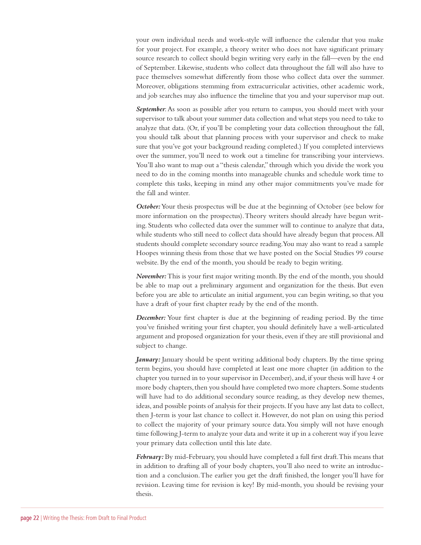your own individual needs and work-style will influence the calendar that you make for your project. For example, a theory writer who does not have significant primary source research to collect should begin writing very early in the fall—even by the end of September. Likewise, students who collect data throughout the fall will also have to pace themselves somewhat differently from those who collect data over the summer. Moreover, obligations stemming from extracurricular activities, other academic work, and job searches may also influence the timeline that you and your supervisor map out.

*September*: As soon as possible after you return to campus, you should meet with your supervisor to talk about your summer data collection and what steps you need to take to analyze that data. (Or, if you'll be completing your data collection throughout the fall, you should talk about that planning process with your supervisor and check to make sure that you've got your background reading completed.) If you completed interviews over the summer, you'll need to work out a timeline for transcribing your interviews. You'll also want to map out a "thesis calendar," through which you divide the work you need to do in the coming months into manageable chunks and schedule work time to complete this tasks, keeping in mind any other major commitments you've made for the fall and winter.

*October:* Your thesis prospectus will be due at the beginning of October (see below for more information on the prospectus). Theory writers should already have begun writing. Students who collected data over the summer will to continue to analyze that data, while students who still need to collect data should have already begun that process. All students should complete secondary source reading. You may also want to read a sample Hoopes winning thesis from those that we have posted on the Social Studies 99 course website. By the end of the month, you should be ready to begin writing.

*November:* This is your first major writing month. By the end of the month, you should be able to map out a preliminary argument and organization for the thesis. But even before you are able to articulate an initial argument, you can begin writing, so that you have a draft of your first chapter ready by the end of the month.

*December:* Your first chapter is due at the beginning of reading period. By the time you've finished writing your first chapter, you should definitely have a well-articulated argument and proposed organization for your thesis, even if they are still provisional and subject to change.

January: January should be spent writing additional body chapters. By the time spring term begins, you should have completed at least one more chapter (in addition to the chapter you turned in to your supervisor in December), and, if your thesis will have 4 or more body chapters, then you should have completed two more chapters. Some students will have had to do additional secondary source reading, as they develop new themes, ideas, and possible points of analysis for their projects. If you have any last data to collect, then J-term is your last chance to collect it. However, do not plan on using this period to collect the majority of your primary source data. You simply will not have enough time following J-term to analyze your data and write it up in a coherent way if you leave your primary data collection until this late date.

*February:* By mid-February, you should have completed a full first draft. This means that in addition to drafting all of your body chapters, you'll also need to write an introduction and a conclusion. The earlier you get the draft finished, the longer you'll have for revision. Leaving time for revision is key! By mid-month, you should be revising your thesis.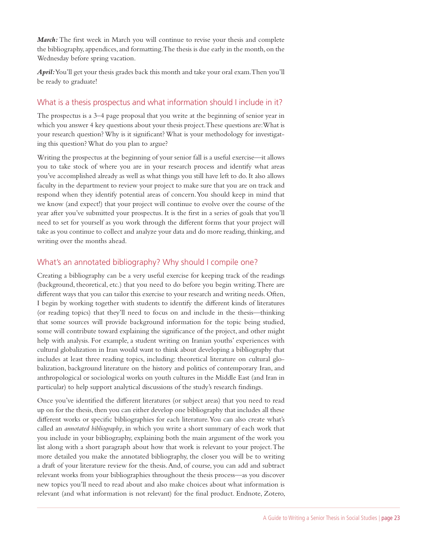*March:* The first week in March you will continue to revise your thesis and complete the bibliography, appendices, and formatting. The thesis is due early in the month, on the Wednesday before spring vacation.

*April:* You'll get your thesis grades back this month and take your oral exam. Then you'll be ready to graduate!

### What is a thesis prospectus and what information should I include in it?

The prospectus is a 3–4 page proposal that you write at the beginning of senior year in which you answer 4 key questions about your thesis project. These questions are: What is your research question? Why is it significant? What is your methodology for investigating this question? What do you plan to argue?

Writing the prospectus at the beginning of your senior fall is a useful exercise—it allows you to take stock of where you are in your research process and identify what areas you've accomplished already as well as what things you still have left to do. It also allows faculty in the department to review your project to make sure that you are on track and respond when they identify potential areas of concern. You should keep in mind that we know (and expect!) that your project will continue to evolve over the course of the year after you've submitted your prospectus. It is the first in a series of goals that you'll need to set for yourself as you work through the different forms that your project will take as you continue to collect and analyze your data and do more reading, thinking, and writing over the months ahead.

### What's an annotated bibliography? Why should I compile one?

Creating a bibliography can be a very useful exercise for keeping track of the readings (background, theoretical, etc.) that you need to do before you begin writing. There are different ways that you can tailor this exercise to your research and writing needs. Often, I begin by working together with students to identify the different kinds of literatures (or reading topics) that they'll need to focus on and include in the thesis—thinking that some sources will provide background information for the topic being studied, some will contribute toward explaining the significance of the project, and other might help with analysis. For example, a student writing on Iranian youths' experiences with cultural globalization in Iran would want to think about developing a bibliography that includes at least three reading topics, including: theoretical literature on cultural globalization, background literature on the history and politics of contemporary Iran, and anthropological or sociological works on youth cultures in the Middle East (and Iran in particular) to help support analytical discussions of the study's research findings.

Once you've identified the different literatures (or subject areas) that you need to read up on for the thesis, then you can either develop one bibliography that includes all these different works or specific bibliographies for each literature. You can also create what's called an *annotated bibliography*, in which you write a short summary of each work that you include in your bibliography, explaining both the main argument of the work you list along with a short paragraph about how that work is relevant to your project. The more detailed you make the annotated bibliography, the closer you will be to writing a draft of your literature review for the thesis. And, of course, you can add and subtract relevant works from your bibliographies throughout the thesis process—as you discover new topics you'll need to read about and also make choices about what information is relevant (and what information is not relevant) for the final product. Endnote, Zotero,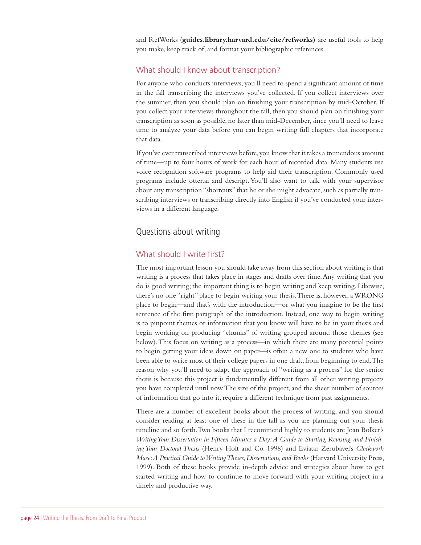and RefWorks (**guides.library.harvard.edu/cite/refworks)** are useful tools to help you make, keep track of, and format your bibliographic references.

### What should I know about transcription?

For anyone who conducts interviews, you'll need to spend a significant amount of time in the fall transcribing the interviews you've collected. If you collect interviews over the summer, then you should plan on finishing your transcription by mid-October. If you collect your interviews throughout the fall, then you should plan on finishing your transcription as soon as possible, no later than mid-December, since you'll need to leave time to analyze your data before you can begin writing full chapters that incorporate that data.

If you've ever transcribed interviews before, you know that it takes a tremendous amount of time—up to four hours of work for each hour of recorded data. Many students use voice recognition software programs to help aid their transcription. Commonly used programs include otter.ai and descript. You'll also want to talk with your supervisor about any transcription "shortcuts" that he or she might advocate, such as partially transcribing interviews or transcribing directly into English if you've conducted your interviews in a different language.

### Questions about writing

### What should I write first?

The most important lesson you should take away from this section about writing is that writing is a process that takes place in stages and drafts over time. Any writing that you do is good writing; the important thing is to begin writing and keep writing. Likewise, there's no one "right" place to begin writing your thesis. There is, however, a WRONG place to begin—and that's with the introduction—or what you imagine to be the first sentence of the first paragraph of the introduction. Instead, one way to begin writing is to pinpoint themes or information that you know will have to be in your thesis and begin working on producing "chunks" of writing grouped around those themes (see below). This focus on writing as a process—in which there are many potential points to begin getting your ideas down on paper—is often a new one to students who have been able to write most of their college papers in one draft, from beginning to end. The reason why you'll need to adapt the approach of "writing as a process" for the senior thesis is because this project is fundamentally different from all other writing projects you have completed until now. The size of the project, and the sheer number of sources of information that go into it, require a different technique from past assignments.

There are a number of excellent books about the process of writing, and you should consider reading at least one of these in the fall as you are planning out your thesis timeline and so forth. Two books that I recommend highly to students are Joan Bolker's *Writing Your Dissertation in Fifteen Minutes a Day: A Guide to Starting, Revising, and Finishing Your Doctoral Thesis* (Henry Holt and Co. 1998) and Eviatar Zerubavel's *Clockwork Muse: A Practical Guide to Writing Theses, Dissertations, and Books* (Harvard University Press, 1999). Both of these books provide in-depth advice and strategies about how to get started writing and how to continue to move forward with your writing project in a timely and productive way.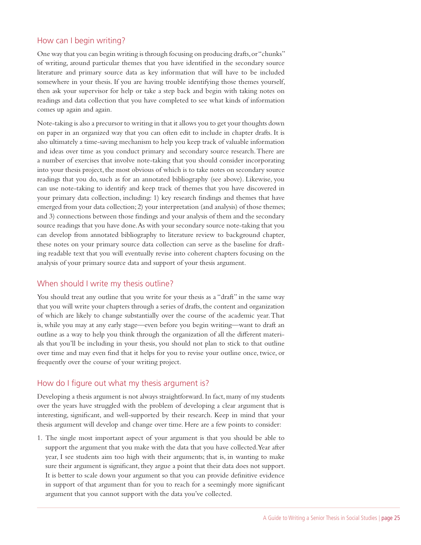### How can I begin writing?

One way that you can begin writing is through focusing on producing drafts, or "chunks" of writing, around particular themes that you have identified in the secondary source literature and primary source data as key information that will have to be included somewhere in your thesis. If you are having trouble identifying those themes yourself, then ask your supervisor for help or take a step back and begin with taking notes on readings and data collection that you have completed to see what kinds of information comes up again and again.

Note-taking is also a precursor to writing in that it allows you to get your thoughts down on paper in an organized way that you can often edit to include in chapter drafts. It is also ultimately a time-saving mechanism to help you keep track of valuable information and ideas over time as you conduct primary and secondary source research. There are a number of exercises that involve note-taking that you should consider incorporating into your thesis project, the most obvious of which is to take notes on secondary source readings that you do, such as for an annotated bibliography (see above). Likewise, you can use note-taking to identify and keep track of themes that you have discovered in your primary data collection, including: 1) key research findings and themes that have emerged from your data collection; 2) your interpretation (and analysis) of those themes; and 3) connections between those findings and your analysis of them and the secondary source readings that you have done. As with your secondary source note-taking that you can develop from annotated bibliography to literature review to background chapter, these notes on your primary source data collection can serve as the baseline for drafting readable text that you will eventually revise into coherent chapters focusing on the analysis of your primary source data and support of your thesis argument.

### When should I write my thesis outline?

You should treat any outline that you write for your thesis as a "draft" in the same way that you will write your chapters through a series of drafts, the content and organization of which are likely to change substantially over the course of the academic year. That is, while you may at any early stage—even before you begin writing—want to draft an outline as a way to help you think through the organization of all the different materials that you'll be including in your thesis, you should not plan to stick to that outline over time and may even find that it helps for you to revise your outline once, twice, or frequently over the course of your writing project.

### How do I figure out what my thesis argument is?

Developing a thesis argument is not always straightforward. In fact, many of my students over the years have struggled with the problem of developing a clear argument that is interesting, significant, and well-supported by their research. Keep in mind that your thesis argument will develop and change over time. Here are a few points to consider:

1. The single most important aspect of your argument is that you should be able to support the argument that you make with the data that you have collected. Year after year, I see students aim too high with their arguments; that is, in wanting to make sure their argument is significant, they argue a point that their data does not support. It is better to scale down your argument so that you can provide definitive evidence in support of that argument than for you to reach for a seemingly more significant argument that you cannot support with the data you've collected.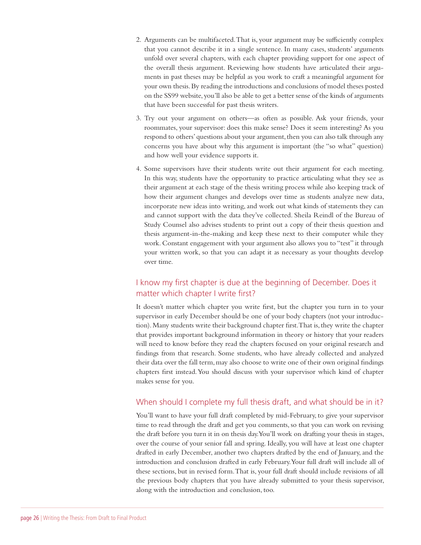- 2. Arguments can be multifaceted. That is, your argument may be sufficiently complex that you cannot describe it in a single sentence. In many cases, students' arguments unfold over several chapters, with each chapter providing support for one aspect of the overall thesis argument. Reviewing how students have articulated their arguments in past theses may be helpful as you work to craft a meaningful argument for your own thesis. By reading the introductions and conclusions of model theses posted on the SS99 website, you'll also be able to get a better sense of the kinds of arguments that have been successful for past thesis writers.
- 3. Try out your argument on others—as often as possible. Ask your friends, your roommates, your supervisor: does this make sense? Does it seem interesting? As you respond to others' questions about your argument, then you can also talk through any concerns you have about why this argument is important (the "so what" question) and how well your evidence supports it.
- 4. Some supervisors have their students write out their argument for each meeting. In this way, students have the opportunity to practice articulating what they see as their argument at each stage of the thesis writing process while also keeping track of how their argument changes and develops over time as students analyze new data, incorporate new ideas into writing, and work out what kinds of statements they can and cannot support with the data they've collected. Sheila Reindl of the Bureau of Study Counsel also advises students to print out a copy of their thesis question and thesis argument-in-the-making and keep these next to their computer while they work. Constant engagement with your argument also allows you to "test" it through your written work, so that you can adapt it as necessary as your thoughts develop over time.

### I know my first chapter is due at the beginning of December. Does it matter which chapter I write first?

It doesn't matter which chapter you write first, but the chapter you turn in to your supervisor in early December should be one of your body chapters (not your introduction). Many students write their background chapter first. That is, they write the chapter that provides important background information in theory or history that your readers will need to know before they read the chapters focused on your original research and findings from that research. Some students, who have already collected and analyzed their data over the fall term, may also choose to write one of their own original findings chapters first instead. You should discuss with your supervisor which kind of chapter makes sense for you.

### When should I complete my full thesis draft, and what should be in it?

You'll want to have your full draft completed by mid-February, to give your supervisor time to read through the draft and get you comments, so that you can work on revising the draft before you turn it in on thesis day. You'll work on drafting your thesis in stages, over the course of your senior fall and spring. Ideally, you will have at least one chapter drafted in early December, another two chapters drafted by the end of January, and the introduction and conclusion drafted in early February. Your full draft will include all of these sections, but in revised form. That is, your full draft should include revisions of all the previous body chapters that you have already submitted to your thesis supervisor, along with the introduction and conclusion, too.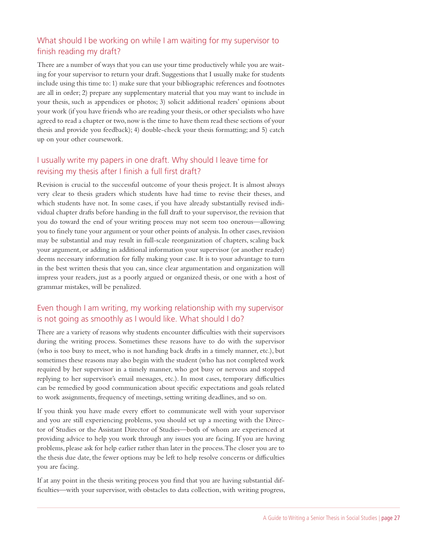### What should I be working on while I am waiting for my supervisor to finish reading my draft?

There are a number of ways that you can use your time productively while you are waiting for your supervisor to return your draft. Suggestions that I usually make for students include using this time to: 1) make sure that your bibliographic references and footnotes are all in order; 2) prepare any supplementary material that you may want to include in your thesis, such as appendices or photos; 3) solicit additional readers' opinions about your work (if you have friends who are reading your thesis, or other specialists who have agreed to read a chapter or two, now is the time to have them read these sections of your thesis and provide you feedback); 4) double-check your thesis formatting; and 5) catch up on your other coursework.

### I usually write my papers in one draft. Why should I leave time for revising my thesis after I finish a full first draft?

Revision is crucial to the successful outcome of your thesis project. It is almost always very clear to thesis graders which students have had time to revise their theses, and which students have not. In some cases, if you have already substantially revised individual chapter drafts before handing in the full draft to your supervisor, the revision that you do toward the end of your writing process may not seem too onerous—allowing you to finely tune your argument or your other points of analysis. In other cases, revision may be substantial and may result in full-scale reorganization of chapters, scaling back your argument, or adding in additional information your supervisor (or another reader) deems necessary information for fully making your case. It is to your advantage to turn in the best written thesis that you can, since clear argumentation and organization will impress your readers, just as a poorly argued or organized thesis, or one with a host of grammar mistakes, will be penalized.

### Even though I am writing, my working relationship with my supervisor is not going as smoothly as I would like. What should I do?

There are a variety of reasons why students encounter difficulties with their supervisors during the writing process. Sometimes these reasons have to do with the supervisor (who is too busy to meet, who is not handing back drafts in a timely manner, etc.), but sometimes these reasons may also begin with the student (who has not completed work required by her supervisor in a timely manner, who got busy or nervous and stopped replying to her supervisor's email messages, etc.). In most cases, temporary difficulties can be remedied by good communication about specific expectations and goals related to work assignments, frequency of meetings, setting writing deadlines, and so on.

If you think you have made every effort to communicate well with your supervisor and you are still experiencing problems, you should set up a meeting with the Director of Studies or the Assistant Director of Studies—both of whom are experienced at providing advice to help you work through any issues you are facing. If you are having problems, please ask for help earlier rather than later in the process. The closer you are to the thesis due date, the fewer options may be left to help resolve concerns or difficulties you are facing.

If at any point in the thesis writing process you find that you are having substantial difficulties—with your supervisor, with obstacles to data collection, with writing progress,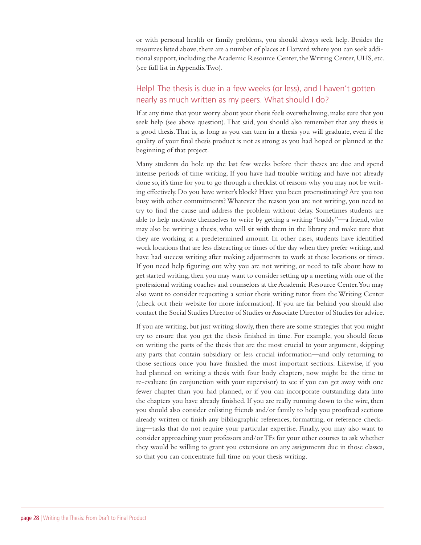or with personal health or family problems, you should always seek help. Besides the resources listed above, there are a number of places at Harvard where you can seek additional support, including the Academic Resource Center, the Writing Center, UHS, etc. (see full list in Appendix Two).

### Help! The thesis is due in a few weeks (or less), and I haven't gotten nearly as much written as my peers. What should I do?

If at any time that your worry about your thesis feels overwhelming, make sure that you seek help (see above question). That said, you should also remember that any thesis is a good thesis. That is, as long as you can turn in a thesis you will graduate, even if the quality of your final thesis product is not as strong as you had hoped or planned at the beginning of that project.

Many students do hole up the last few weeks before their theses are due and spend intense periods of time writing. If you have had trouble writing and have not already done so, it's time for you to go through a checklist of reasons why you may not be writing effectively. Do you have writer's block? Have you been procrastinating? Are you too busy with other commitments? Whatever the reason you are not writing, you need to try to find the cause and address the problem without delay. Sometimes students are able to help motivate themselves to write by getting a writing "buddy"—a friend, who may also be writing a thesis, who will sit with them in the library and make sure that they are working at a predetermined amount. In other cases, students have identified work locations that are less distracting or times of the day when they prefer writing, and have had success writing after making adjustments to work at these locations or times. If you need help figuring out why you are not writing, or need to talk about how to get started writing, then you may want to consider setting up a meeting with one of the professional writing coaches and counselors at the Academic Resource Center. You may also want to consider requesting a senior thesis writing tutor from the Writing Center (check out their website for more information). If you are far behind you should also contact the Social Studies Director of Studies or Associate Director of Studies for advice.

If you are writing, but just writing slowly, then there are some strategies that you might try to ensure that you get the thesis finished in time. For example, you should focus on writing the parts of the thesis that are the most crucial to your argument, skipping any parts that contain subsidiary or less crucial information—and only returning to those sections once you have finished the most important sections. Likewise, if you had planned on writing a thesis with four body chapters, now might be the time to re-evaluate (in conjunction with your supervisor) to see if you can get away with one fewer chapter than you had planned, or if you can incorporate outstanding data into the chapters you have already finished. If you are really running down to the wire, then you should also consider enlisting friends and/or family to help you proofread sections already written or finish any bibliographic references, formatting, or reference checking—tasks that do not require your particular expertise. Finally, you may also want to consider approaching your professors and/or TFs for your other courses to ask whether they would be willing to grant you extensions on any assignments due in those classes, so that you can concentrate full time on your thesis writing.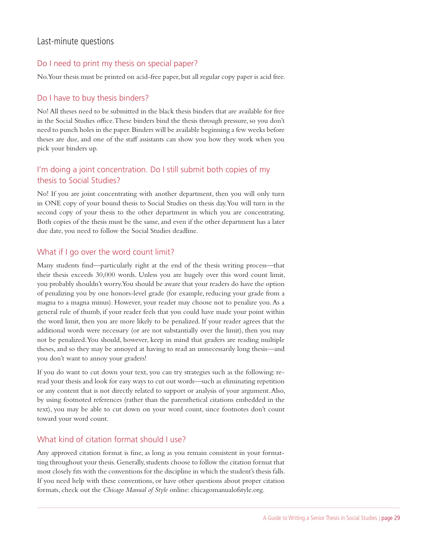### Last-minute questions

### Do I need to print my thesis on special paper?

No. Your thesis must be printed on acid-free paper, but all regular copy paper is acid free.

### Do I have to buy thesis binders?

No! All theses need to be submitted in the black thesis binders that are available for free in the Social Studies office. These binders bind the thesis through pressure, so you don't need to punch holes in the paper. Binders will be available beginning a few weeks before theses are due, and one of the staff assistants can show you how they work when you pick your binders up.

### I'm doing a joint concentration. Do I still submit both copies of my thesis to Social Studies?

No! If you are joint concentrating with another department, then you will only turn in ONE copy of your bound thesis to Social Studies on thesis day. You will turn in the second copy of your thesis to the other department in which you are concentrating. Both copies of the thesis must be the same, and even if the other department has a later due date, you need to follow the Social Studies deadline.

### What if I go over the word count limit?

Many students find—particularly right at the end of the thesis writing process—that their thesis exceeds 30,000 words. Unless you are hugely over this word count limit, you probably shouldn't worry. You should be aware that your readers do have the option of penalizing you by one honors-level grade (for example, reducing your grade from a magna to a magna minus). However, your reader may choose not to penalize you. As a general rule of thumb, if your reader feels that you could have made your point within the word limit, then you are more likely to be penalized. If your reader agrees that the additional words were necessary (or are not substantially over the limit), then you may not be penalized. You should, however, keep in mind that graders are reading multiple theses, and so they may be annoyed at having to read an unnecessarily long thesis—and you don't want to annoy your graders!

If you do want to cut down your text, you can try strategies such as the following: reread your thesis and look for easy ways to cut out words—such as eliminating repetition or any content that is not directly related to support or analysis of your argument. Also, by using footnoted references (rather than the parenthetical citations embedded in the text), you may be able to cut down on your word count, since footnotes don't count toward your word count.

### What kind of citation format should I use?

Any approved citation format is fine, as long as you remain consistent in your formatting throughout your thesis. Generally, students choose to follow the citation format that most closely fits with the conventions for the discipline in which the student's thesis falls. If you need help with these conventions, or have other questions about proper citation formats, check out the *Chicago Manual of Style* online: chicagomanualofstyle.org.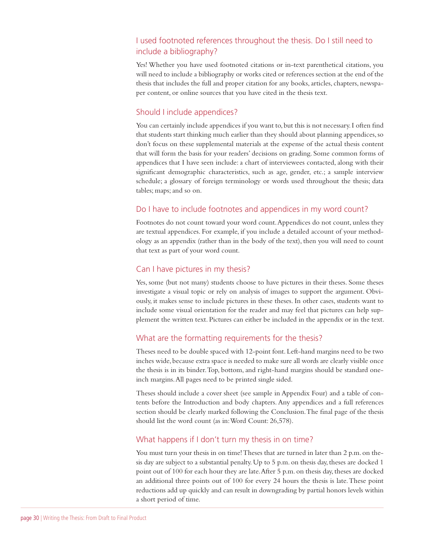### I used footnoted references throughout the thesis. Do I still need to include a bibliography?

Yes! Whether you have used footnoted citations or in-text parenthetical citations, you will need to include a bibliography or works cited or references section at the end of the thesis that includes the full and proper citation for any books, articles, chapters, newspaper content, or online sources that you have cited in the thesis text.

### Should I include appendices?

You can certainly include appendices if you want to, but this is not necessary. I often find that students start thinking much earlier than they should about planning appendices, so don't focus on these supplemental materials at the expense of the actual thesis content that will form the basis for your readers' decisions on grading. Some common forms of appendices that I have seen include: a chart of interviewees contacted, along with their significant demographic characteristics, such as age, gender, etc.; a sample interview schedule; a glossary of foreign terminology or words used throughout the thesis; data tables; maps; and so on.

### Do I have to include footnotes and appendices in my word count?

Footnotes do not count toward your word count. Appendices do not count, unless they are textual appendices. For example, if you include a detailed account of your methodology as an appendix (rather than in the body of the text), then you will need to count that text as part of your word count.

### Can I have pictures in my thesis?

Yes, some (but not many) students choose to have pictures in their theses. Some theses investigate a visual topic or rely on analysis of images to support the argument. Obviously, it makes sense to include pictures in these theses. In other cases, students want to include some visual orientation for the reader and may feel that pictures can help supplement the written text. Pictures can either be included in the appendix or in the text.

### What are the formatting requirements for the thesis?

Theses need to be double spaced with 12-point font. Left-hand margins need to be two inches wide, because extra space is needed to make sure all words are clearly visible once the thesis is in its binder. Top, bottom, and right-hand margins should be standard oneinch margins. All pages need to be printed single sided.

Theses should include a cover sheet (see sample in Appendix Four) and a table of contents before the Introduction and body chapters. Any appendices and a full references section should be clearly marked following the Conclusion. The final page of the thesis should list the word count (as in: Word Count: 26,578).

### What happens if I don't turn my thesis in on time?

You must turn your thesis in on time! Theses that are turned in later than 2 p.m. on thesis day are subject to a substantial penalty. Up to 5 p.m. on thesis day, theses are docked 1 point out of 100 for each hour they are late. After 5 p.m. on thesis day, theses are docked an additional three points out of 100 for every 24 hours the thesis is late. These point reductions add up quickly and can result in downgrading by partial honors levels within a short period of time.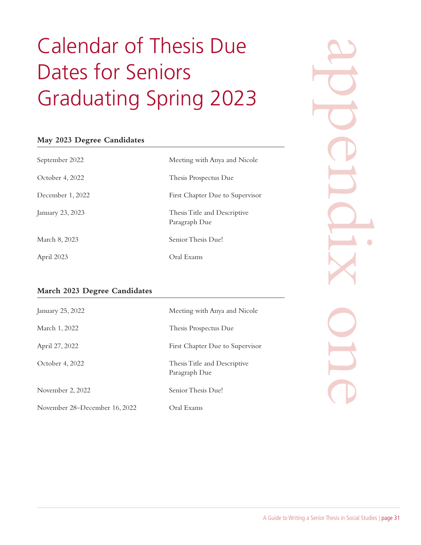# Calendar of Thesis Due Dates for Seniors Graduating Spring 2023

### **May 2023 Degree Candidates**

| September 2022   | Meeting with Anya and Nicole                  |
|------------------|-----------------------------------------------|
| October 4, 2022  | Thesis Prospectus Due                         |
| December 1, 2022 | First Chapter Due to Supervisor               |
| January 23, 2023 | Thesis Title and Descriptive<br>Paragraph Due |
| March 8, 2023    | Senior Thesis Due!                            |
| April 2023       | Oral Exams                                    |

# appendix one

### **March 2023 Degree Candidates**

| January 25, 2022              | Meeting with Anya and Nicole                  |
|-------------------------------|-----------------------------------------------|
| March 1, 2022                 | Thesis Prospectus Due                         |
| April 27, 2022                | First Chapter Due to Supervisor               |
| October 4, 2022               | Thesis Title and Descriptive<br>Paragraph Due |
| November 2, 2022              | Senior Thesis Due!                            |
| November 28–December 16, 2022 | Oral Exams                                    |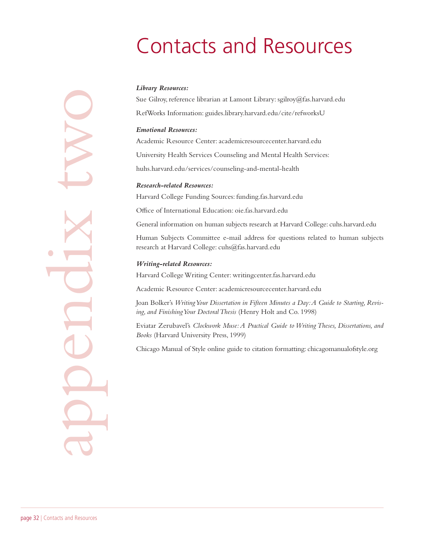# Contacts and Resources

### *Library Resources:*

Sue Gilroy, reference librarian at Lamont Library: sgilroy@fas.harvard.edu RefWorks Information: guides.library.harvard.edu/cite/refworksU

### *Emotional Resources:*

Academic Resource Center: academicresourcecenter.harvard.edu

University Health Services Counseling and Mental Health Services:

huhs.harvard.edu/services/counseling-and-mental-health

### *Research-related Resources:*

Harvard College Funding Sources: funding.fas.harvard.edu

Office of International Education: oie.fas.harvard.edu

General information on human subjects research at Harvard College: cuhs.harvard.edu

Human Subjects Committee e-mail address for questions related to human subjects research at Harvard College: cuhs@fas.harvard.edu

### *Writing-related Resources:*

Harvard College Writing Center: writingcenter.fas.harvard.edu

Academic Resource Center: academicresourcecenter.harvard.edu

Joan Bolker's *Writing Your Dissertation in Fifteen Minutes a Day: A Guide to Starting, Revising, and Finishing Your Doctoral Thesis* (Henry Holt and Co. 1998)

Eviatar Zerubavel's *Clockwork Muse: A Practical Guide to Writing Theses, Dissertations, and Books* (Harvard University Press, 1999)

Chicago Manual of Style online guide to citation formatting: chicagomanualofstyle.org

appendix two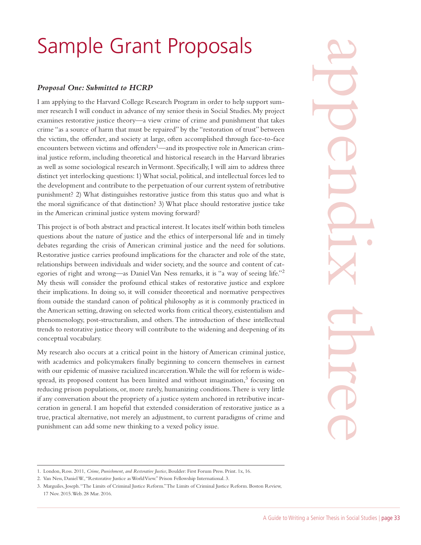# Sample Grant Proposals

### *Proposal One: Submitted to HCRP*

I am applying to the Harvard College Research Program in order to help support summer research I will conduct in advance of my senior thesis in Social Studies. My project examines restorative justice theory—a view crime of crime and punishment that takes crime "as a source of harm that must be repaired" by the "restoration of trust" between the victim, the offender, and society at large, often accomplished through face-to-face encounters between victims and offenders<sup>1</sup>—and its prospective role in American criminal justice reform, including theoretical and historical research in the Harvard libraries as well as some sociological research in Vermont. Specifically, I will aim to address three distinct yet interlocking questions: 1) What social, political, and intellectual forces led to the development and contribute to the perpetuation of our current system of retributive punishment? 2) What distinguishes restorative justice from this status quo and what is the moral significance of that distinction? 3) What place should restorative justice take in the American criminal justice system moving forward?

This project is of both abstract and practical interest. It locates itself within both timeless questions about the nature of justice and the ethics of interpersonal life and in timely debates regarding the crisis of American criminal justice and the need for solutions. Restorative justice carries profound implications for the character and role of the state, relationships between individuals and wider society, and the source and content of categories of right and wrong—as Daniel Van Ness remarks, it is "a way of seeing life."2 My thesis will consider the profound ethical stakes of restorative justice and explore their implications. In doing so, it will consider theoretical and normative perspectives from outside the standard canon of political philosophy as it is commonly practiced in the American setting, drawing on selected works from critical theory, existentialism and phenomenology, post-structuralism, and others. The introduction of these intellectual trends to restorative justice theory will contribute to the widening and deepening of its conceptual vocabulary.

My research also occurs at a critical point in the history of American criminal justice, with academics and policymakers finally beginning to concern themselves in earnest with our epidemic of massive racialized incarceration. While the will for reform is widespread, its proposed content has been limited and without imagination,<sup>3</sup> focusing on reducing prison populations, or, more rarely, humanizing conditions. There is very little if any conversation about the propriety of a justice system anchored in retributive incarceration in general. I am hopeful that extended consideration of restorative justice as a true, practical alternative, not merely an adjustment, to current paradigms of crime and punishment can add some new thinking to a vexed policy issue.

appendix three

<sup>1.</sup> London, Ross. 2011, *Crime, Punishment, and Restorative Justice*, Boulder: First Forum Press. Print. 1x, 16.

<sup>2.</sup> Van Ness, Daniel W., "Restorative Justice as World View." Prison Fellowship International. 3.

<sup>3.</sup> Marguiles, Joseph. "The Limits of Criminal Justice Reform." The Limits of Criminal Justice Reform. Boston Review, 17 Nov. 2015. Web. 28 Mar. 2016.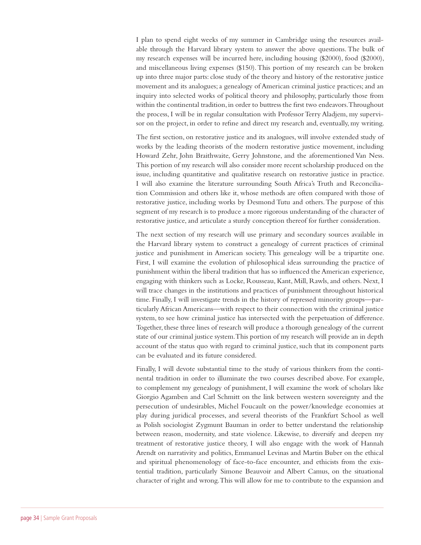I plan to spend eight weeks of my summer in Cambridge using the resources available through the Harvard library system to answer the above questions. The bulk of my research expenses will be incurred here, including housing (\$2000), food (\$2000), and miscellaneous living expenses (\$150). This portion of my research can be broken up into three major parts: close study of the theory and history of the restorative justice movement and its analogues; a genealogy of American criminal justice practices; and an inquiry into selected works of political theory and philosophy, particularly those from within the continental tradition, in order to buttress the first two endeavors. Throughout the process, I will be in regular consultation with Professor Terry Aladjem, my supervisor on the project, in order to refine and direct my research and, eventually, my writing.

The first section, on restorative justice and its analogues, will involve extended study of works by the leading theorists of the modern restorative justice movement, including Howard Zehr, John Braithwaite, Gerry Johnstone, and the aforementioned Van Ness. This portion of my research will also consider more recent scholarship produced on the issue, including quantitative and qualitative research on restorative justice in practice. I will also examine the literature surrounding South Africa's Truth and Reconciliation Commission and others like it, whose methods are often compared with those of restorative justice, including works by Desmond Tutu and others. The purpose of this segment of my research is to produce a more rigorous understanding of the character of restorative justice, and articulate a sturdy conception thereof for further consideration.

The next section of my research will use primary and secondary sources available in the Harvard library system to construct a genealogy of current practices of criminal justice and punishment in American society. This genealogy will be a tripartite one. First, I will examine the evolution of philosophical ideas surrounding the practice of punishment within the liberal tradition that has so influenced the American experience, engaging with thinkers such as Locke, Rousseau, Kant, Mill, Rawls, and others. Next, I will trace changes in the institutions and practices of punishment throughout historical time. Finally, I will investigate trends in the history of repressed minority groups—particularly African Americans—with respect to their connection with the criminal justice system, to see how criminal justice has intersected with the perpetuation of difference. Together, these three lines of research will produce a thorough genealogy of the current state of our criminal justice system. This portion of my research will provide an in depth account of the status quo with regard to criminal justice, such that its component parts can be evaluated and its future considered.

Finally, I will devote substantial time to the study of various thinkers from the continental tradition in order to illuminate the two courses described above. For example, to complement my genealogy of punishment, I will examine the work of scholars like Giorgio Agamben and Carl Schmitt on the link between western sovereignty and the persecution of undesirables, Michel Foucault on the power/knowledge economies at play during juridical processes, and several theorists of the Frankfurt School as well as Polish sociologist Zygmunt Bauman in order to better understand the relationship between reason, modernity, and state violence. Likewise, to diversify and deepen my treatment of restorative justice theory, I will also engage with the work of Hannah Arendt on narrativity and politics, Emmanuel Levinas and Martin Buber on the ethical and spiritual phenomenology of face-to-face encounter, and ethicists from the existential tradition, particularly Simone Beauvoir and Albert Camus, on the situational character of right and wrong. This will allow for me to contribute to the expansion and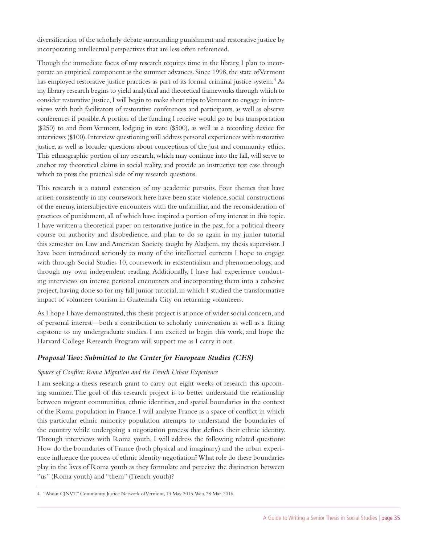diversification of the scholarly debate surrounding punishment and restorative justice by incorporating intellectual perspectives that are less often referenced.

Though the immediate focus of my research requires time in the library, I plan to incorporate an empirical component as the summer advances. Since 1998, the state of Vermont has employed restorative justice practices as part of its formal criminal justice system.<sup>4</sup> As my library research begins to yield analytical and theoretical frameworks through which to consider restorative justice, I will begin to make short trips to Vermont to engage in interviews with both facilitators of restorative conferences and participants, as well as observe conferences if possible. A portion of the funding I receive would go to bus transportation (\$250) to and from Vermont, lodging in state (\$500), as well as a recording device for interviews (\$100). Interview questioning will address personal experiences with restorative justice, as well as broader questions about conceptions of the just and community ethics. This ethnographic portion of my research, which may continue into the fall, will serve to anchor my theoretical claims in social reality, and provide an instructive test case through which to press the practical side of my research questions.

This research is a natural extension of my academic pursuits. Four themes that have arisen consistently in my coursework here have been state violence, social constructions of the enemy, intersubjective encounters with the unfamiliar, and the reconsideration of practices of punishment, all of which have inspired a portion of my interest in this topic. I have written a theoretical paper on restorative justice in the past, for a political theory course on authority and disobedience, and plan to do so again in my junior tutorial this semester on Law and American Society, taught by Aladjem, my thesis supervisor. I have been introduced seriously to many of the intellectual currents I hope to engage with through Social Studies 10, coursework in existentialism and phenomenology, and through my own independent reading. Additionally, I have had experience conducting interviews on intense personal encounters and incorporating them into a cohesive project, having done so for my fall junior tutorial, in which I studied the transformative impact of volunteer tourism in Guatemala City on returning volunteers.

As I hope I have demonstrated, this thesis project is at once of wider social concern, and of personal interest—both a contribution to scholarly conversation as well as a fitting capstone to my undergraduate studies. I am excited to begin this work, and hope the Harvard College Research Program will support me as I carry it out.

### *Proposal Two: Submitted to the Center for European Studies (CES)*

### *Spaces of Conflict: Roma Migration and the French Urban Experience*

I am seeking a thesis research grant to carry out eight weeks of research this upcoming summer. The goal of this research project is to better understand the relationship between migrant communities, ethnic identities, and spatial boundaries in the context of the Roma population in France. I will analyze France as a space of conflict in which this particular ethnic minority population attempts to understand the boundaries of the country while undergoing a negotiation process that defines their ethnic identity. Through interviews with Roma youth, I will address the following related questions: How do the boundaries of France (both physical and imaginary) and the urban experience influence the process of ethnic identity negotiation? What role do these boundaries play in the lives of Roma youth as they formulate and perceive the distinction between "us" (Roma youth) and "them" (French youth)?

<sup>4.</sup> "About CJNVT." Community Justice Network of Vermont, 13 May 2015. Web. 28 Mar. 2016.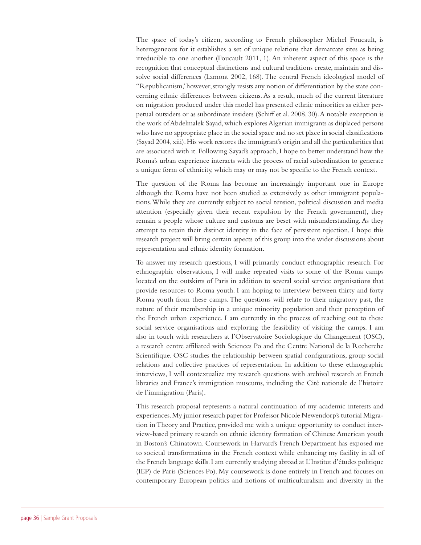The space of today's citizen, according to French philosopher Michel Foucault, is heterogeneous for it establishes a set of unique relations that demarcate sites as being irreducible to one another (Foucault 2011, 1). An inherent aspect of this space is the recognition that conceptual distinctions and cultural traditions create, maintain and dissolve social differences (Lamont 2002, 168). The central French ideological model of "Republicanism,' however, strongly resists any notion of differentiation by the state concerning ethnic differences between citizens. As a result, much of the current literature on migration produced under this model has presented ethnic minorities as either perpetual outsiders or as subordinate insiders (Schiff et al. 2008, 30). A notable exception is the work of Abdelmalek Sayad, which explores Algerian immigrants as displaced persons who have no appropriate place in the social space and no set place in social classifications (Sayad 2004, xiii). His work restores the immigrant's origin and all the particularities that are associated with it. Following Sayad's approach, I hope to better understand how the Roma's urban experience interacts with the process of racial subordination to generate a unique form of ethnicity, which may or may not be specific to the French context.

The question of the Roma has become an increasingly important one in Europe although the Roma have not been studied as extensively as other immigrant populations. While they are currently subject to social tension, political discussion and media attention (especially given their recent expulsion by the French government), they remain a people whose culture and customs are beset with misunderstanding. As they attempt to retain their distinct identity in the face of persistent rejection, I hope this research project will bring certain aspects of this group into the wider discussions about representation and ethnic identity formation.

To answer my research questions, I will primarily conduct ethnographic research. For ethnographic observations, I will make repeated visits to some of the Roma camps located on the outskirts of Paris in addition to several social service organisations that provide resources to Roma youth. I am hoping to interview between thirty and forty Roma youth from these camps. The questions will relate to their migratory past, the nature of their membership in a unique minority population and their perception of the French urban experience. I am currently in the process of reaching out to these social service organisations and exploring the feasibility of visiting the camps. I am also in touch with researchers at l'Observatoire Sociologique du Changement (OSC), a research centre affiliated with Sciences Po and the Centre National de la Recherche Scientifique. OSC studies the relationship between spatial configurations, group social relations and collective practices of representation. In addition to these ethnographic interviews, I will contextualize my research questions with archival research at French libraries and France's immigration museums, including the Cité nationale de l'histoire de l'immigration (Paris).

This research proposal represents a natural continuation of my academic interests and experiences. My junior research paper for Professor Nicole Newendorp's tutorial Migration in Theory and Practice, provided me with a unique opportunity to conduct interview-based primary research on ethnic identity formation of Chinese American youth in Boston's Chinatown. Coursework in Harvard's French Department has exposed me to societal transformations in the French context while enhancing my facility in all of the French language skills. I am currently studying abroad at L'Institut d'études politique (IEP) de Paris (Sciences Po). My coursework is done entirely in French and focuses on contemporary European politics and notions of multiculturalism and diversity in the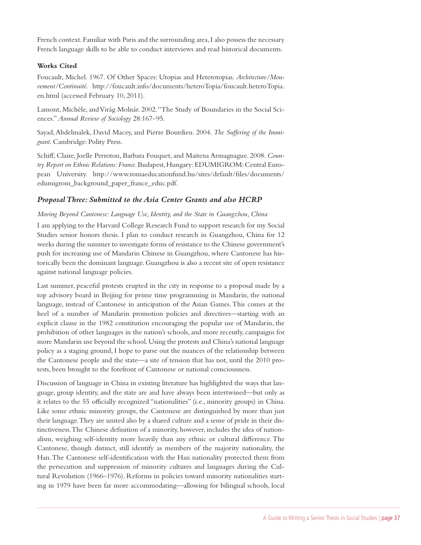French context. Familiar with Paris and the surrounding area, I also possess the necessary French language skills to be able to conduct interviews and read historical documents.

### **Works Cited**

Foucault, Michel. 1967. Of Other Spaces: Utopias and Heterotopias. *Architecture/Mouvement/Continuité.* http://foucault.info/documents/heteroTopia/foucault.heteroTopia. en.html (accessed February 10, 2011).

Lamont, Michèle, and Virág Molnár. 2002. "The Study of Boundaries in the Social Sciences." *Annual Review of Sociology* 28:167–95.

Sayad, Abdelmalek, David Macey, and Pierre Bourdieu. 2004. *The Suffering of the Immigrant*. Cambridge: Polity Press.

Schiff, Claire, Joelle Perroton, Barbara Fouquet, and Maitena Armagnague. 2008. *Country Report on Ethnic Relations: France*. Budapest, Hungary: EDUMIGROM: Central European University. http://www.romaeducationfund.hu/sites/default/files/documents/ edumigrom\_background\_paper\_france\_educ.pdf.

### *Proposal Three: Submitted to the Asia Center Grants and also HCRP*

*Moving Beyond Cantonese: Language Use, Identity, and the State in Guangzhou, China* 

I am applying to the Harvard College Research Fund to support research for my Social Studies senior honors thesis. I plan to conduct research in Guangzhou, China for 12 weeks during the summer to investigate forms of resistance to the Chinese government's push for increasing use of Mandarin Chinese in Guangzhou, where Cantonese has historically been the dominant language. Guangzhou is also a recent site of open resistance against national language policies.

Last summer, peaceful protests erupted in the city in response to a proposal made by a top advisory board in Beijing for prime time programming in Mandarin, the national language, instead of Cantonese in anticipation of the Asian Games. This comes at the heel of a number of Mandarin promotion policies and directives—starting with an explicit clause in the 1982 constitution encouraging the popular use of Mandarin, the prohibition of other languages in the nation's schools, and more recently, campaigns for more Mandarin use beyond the school. Using the protests and China's national language policy as a staging ground, I hope to parse out the nuances of the relationship between the Cantonese people and the state—a site of tension that has not, until the 2010 protests, been brought to the forefront of Cantonese or national consciousness.

Discussion of language in China in existing literature has highlighted the ways that language, group identity, and the state are and have always been intertwined—but only as it relates to the 55 officially recognized "nationalities" (i.e., minority groups) in China. Like some ethnic minority groups, the Cantonese are distinguished by more than just their language. They are united also by a shared culture and a sense of pride in their distinctiveness. The Chinese definition of a minority, however, includes the idea of nationalism, weighing self-identity more heavily than any ethnic or cultural difference. The Cantonese, though distinct, still identify as members of the majority nationality, the Han. The Cantonese self-identification with the Han nationality protected them from the persecution and suppression of minority cultures and languages during the Cultural Revolution (1966–1976). Reforms in policies toward minority nationalities starting in 1979 have been far more accommodating—allowing for bilingual schools, local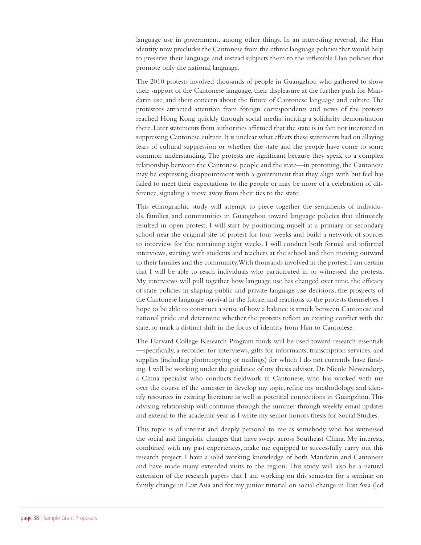language use in government, among other things. In an interesting reversal, the Han identity now precludes the Cantonese from the ethnic language policies that would help to preserve their language and instead subjects them to the inflexible Han policies that promote only the national language.

The 2010 protests involved thousands of people in Guangzhou who gathered to show their support of the Cantonese language, their displeasure at the further push for Mandarin use, and their concern about the future of Cantonese language and culture. The protestors attracted attention from foreign correspondents and news of the protests reached Hong Kong quickly through social media, inciting a solidarity demonstration there. Later statements from authorities affirmed that the state is in fact not interested in suppressing Cantonese culture. It is unclear what effects these statements had on allaying fears of cultural suppression or whether the state and the people have come to some common understanding. The protests are significant because they speak to a complex relationship between the Cantonese people and the state—in protesting, the Cantonese may be expressing disappointment with a government that they align with but feel has failed to meet their expectations to the people or may be more of a celebration of difference, signaling a move away from their ties to the state.

This ethnographic study will attempt to piece together the sentiments of individuals, families, and communities in Guangzhou toward language policies that ultimately resulted in open protest. I will start by positioning myself at a primary or secondary school near the original site of protest for four weeks and build a network of sources to interview for the remaining eight weeks. I will conduct both formal and informal interviews, starting with students and teachers at the school and then moving outward to their families and the community. With thousands involved in the protest, I am certain that I will be able to reach individuals who participated in or witnessed the protests. My interviews will pull together how language use has changed over time, the efficacy of state policies in shaping public and private language use decisions, the prospects of the Cantonese language survival in the future, and reactions to the protests themselves. I hope to be able to construct a sense of how a balance is struck between Cantonese and national pride and determine whether the protests reflect an existing conflict with the state, or mark a distinct shift in the focus of identity from Han to Cantonese.

The Harvard College Research Program funds will be used toward research essentials —specifically, a recorder for interviews, gifts for informants, transcription services, and supplies (including photocopying or mailings) for which I do not currently have funding. I will be working under the guidance of my thesis advisor, Dr. Nicole Newendorp, a China specialist who conducts fieldwork in Cantonese, who has worked with me over the course of the semester to develop my topic, refine my methodology, and identify resources in existing literature as well as potential connections in Guangzhou. This advising relationship will continue through the summer through weekly email updates and extend to the academic year as I write my senior honors thesis for Social Studies.

This topic is of interest and deeply personal to me as somebody who has witnessed the social and linguistic changes that have swept across Southeast China. My interests, combined with my past experiences, make me equipped to successfully carry out this research project. I have a solid working knowledge of both Mandarin and Cantonese and have made many extended visits to the region. This study will also be a natural extension of the research papers that I am working on this semester for a seminar on family change in East Asia and for my junior tutorial on social change in East Asia (led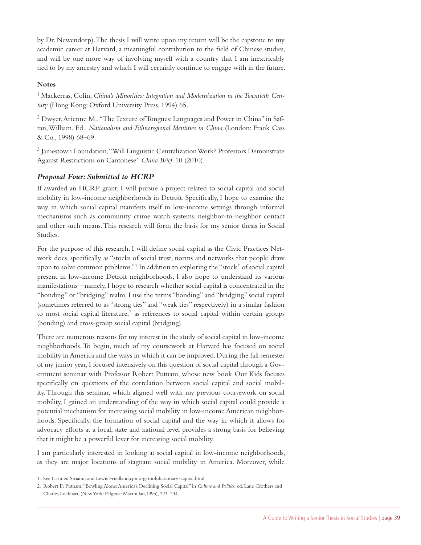by Dr. Newendorp). The thesis I will write upon my return will be the capstone to my academic career at Harvard, a meaningful contribution to the field of Chinese studies, and will be one more way of involving myself with a country that I am inextricably tied to by my ancestry and which I will certainly continue to engage with in the future.

### **Notes**

<sup>1</sup> Mackerras, Colin, *China's Minorities: Integration and Modernization in the Twentieth Century* (Hong Kong: Oxford University Press, 1994) 65.

2 Dwyer, Arienne M., "The Texture of Tongues: Languages and Power in China" in Safran, William. Ed., *Nationalism and Ethnoregional Identities in China* (London: Frank Cass & Co., 1998) 68–69.

<sup>3</sup> Jamestown Foundation, "Will Linguistic Centralization Work? Protestors Demonstrate Against Restrictions on Cantonese" *China Brief*. 10 (2010).

### *Proposal Four: Submitted to HCRP*

If awarded an HCRP grant, I will pursue a project related to social capital and social mobility in low-income neighborhoods in Detroit. Specifically, I hope to examine the way in which social capital manifests itself in low-income settings through informal mechanisms such as community crime watch systems, neighbor-to-neighbor contact and other such means. This research will form the basis for my senior thesis in Social Studies.

For the purpose of this research, I will define social capital as the Civic Practices Network does, specifically as "stocks of social trust, norms and networks that people draw upon to solve common problems."1 In addition to exploring the "stock" of social capital present in low-income Detroit neighborhoods, I also hope to understand its various manifestations—namely, I hope to research whether social capital is concentrated in the "bonding" or "bridging" realm. I use the terms "bonding" and "bridging" social capital (sometimes referred to as "strong ties" and "weak ties" respectively) in a similar fashion to most social capital literature, $2$  as references to social capital within certain groups (bonding) and cross-group social capital (bridging).

There are numerous reasons for my interest in the study of social capital in low-income neighborhoods. To begin, much of my coursework at Harvard has focused on social mobility in America and the ways in which it can be improved. During the fall semester of my junior year, I focused intensively on this question of social capital through a Government seminar with Professor Robert Putnam, whose new book Our Kids focuses specifically on questions of the correlation between social capital and social mobility. Through this seminar, which aligned well with my previous coursework on social mobility, I gained an understanding of the way in which social capital could provide a potential mechanism for increasing social mobility in low-income American neighborhoods. Specifically, the formation of social capital and the way in which it allows for advocacy efforts at a local, state and national level provides a strong basis for believing that it might be a powerful lever for increasing social mobility.

I am particularly interested in looking at social capital in low-income neighborhoods, as they are major locations of stagnant social mobility in America. Moreover, while

2. Robert D. Putnam, "Bowling Alone: America's Declining Social Capital" in *Culture and Politics*, ed. Lane Crothers and Charles Lockhart, (New York: Palgrave Macmillan,1995), 223–234.

<sup>1.</sup> See Carmen Sirianni and Lewis Friedland,cpn.org/toolsdictionary/capital.html.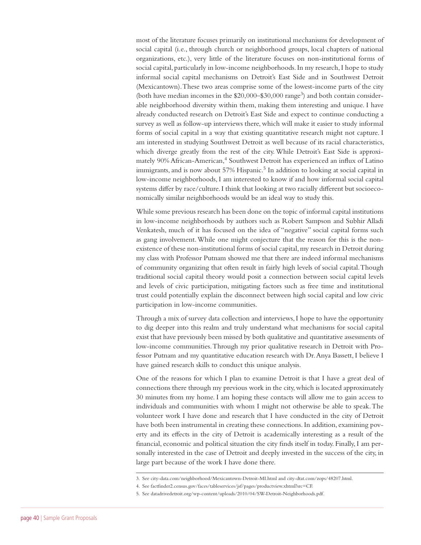most of the literature focuses primarily on institutional mechanisms for development of social capital (i.e., through church or neighborhood groups, local chapters of national organizations, etc.), very little of the literature focuses on non-institutional forms of social capital, particularly in low-income neighborhoods. In my research, I hope to study informal social capital mechanisms on Detroit's East Side and in Southwest Detroit (Mexicantown). These two areas comprise some of the lowest-income parts of the city (both have median incomes in the  $$20,000–$30,000 range<sup>3</sup>]$  and both contain considerable neighborhood diversity within them, making them interesting and unique. I have already conducted research on Detroit's East Side and expect to continue conducting a survey as well as follow-up interviews there, which will make it easier to study informal forms of social capital in a way that existing quantitative research might not capture. I am interested in studying Southwest Detroit as well because of its racial characteristics, which diverge greatly from the rest of the city. While Detroit's East Side is approximately 90% African-American,<sup>4</sup> Southwest Detroit has experienced an influx of Latino immigrants, and is now about 57% Hispanic.<sup>5</sup> In addition to looking at social capital in low-income neighborhoods, I am interested to know if and how informal social capital systems differ by race/culture. I think that looking at two racially different but socioeconomically similar neighborhoods would be an ideal way to study this.

While some previous research has been done on the topic of informal capital institutions in low-income neighborhoods by authors such as Robert Sampson and Subhir Alladi Venkatesh, much of it has focused on the idea of "negative" social capital forms such as gang involvement. While one might conjecture that the reason for this is the nonexistence of these non-institutional forms of social capital, my research in Detroit during my class with Professor Putnam showed me that there are indeed informal mechanisms of community organizing that often result in fairly high levels of social capital. Though traditional social capital theory would posit a connection between social capital levels and levels of civic participation, mitigating factors such as free time and institutional trust could potentially explain the disconnect between high social capital and low civic participation in low-income communities.

Through a mix of survey data collection and interviews, I hope to have the opportunity to dig deeper into this realm and truly understand what mechanisms for social capital exist that have previously been missed by both qualitative and quantitative assessments of low-income communities. Through my prior qualitative research in Detroit with Professor Putnam and my quantitative education research with Dr. Anya Bassett, I believe I have gained research skills to conduct this unique analysis.

One of the reasons for which I plan to examine Detroit is that I have a great deal of connections there through my previous work in the city, which is located approximately 30 minutes from my home. I am hoping these contacts will allow me to gain access to individuals and communities with whom I might not otherwise be able to speak. The volunteer work I have done and research that I have conducted in the city of Detroit have both been instrumental in creating these connections. In addition, examining poverty and its effects in the city of Detroit is academically interesting as a result of the financial, economic and political situation the city finds itself in today. Finally, I am personally interested in the case of Detroit and deeply invested in the success of the city, in large part because of the work I have done there.

<sup>3.</sup> See city-data.com/neighborhood/Mexicantown-Detroit-MI.html and city-dtat.com/zops/48207.html.

<sup>4.</sup> See factfinder2.census.gov/faces/tableservices/jsf/pages/productview.xhtml?src=CF.

<sup>5.</sup> See datadrivedetroit.org/wp-content/uploads/2010/04/SW-Detroit-Neighborhoods.pdf.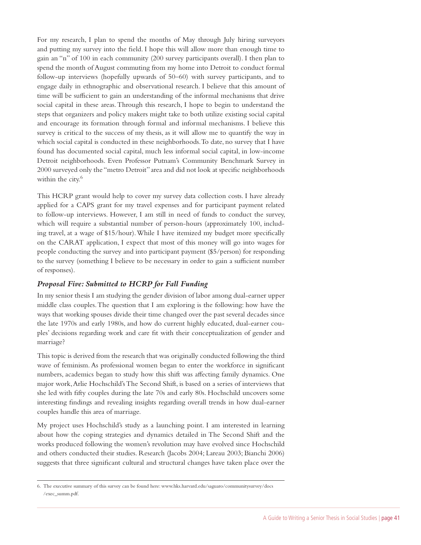For my research, I plan to spend the months of May through July hiring surveyors and putting my survey into the field. I hope this will allow more than enough time to gain an "n" of 100 in each community (200 survey participants overall). I then plan to spend the month of August commuting from my home into Detroit to conduct formal follow-up interviews (hopefully upwards of 50–60) with survey participants, and to engage daily in ethnographic and observational research. I believe that this amount of time will be sufficient to gain an understanding of the informal mechanisms that drive social capital in these areas. Through this research, I hope to begin to understand the steps that organizers and policy makers might take to both utilize existing social capital and encourage its formation through formal and informal mechanisms. I believe this survey is critical to the success of my thesis, as it will allow me to quantify the way in which social capital is conducted in these neighborhoods. To date, no survey that I have found has documented social capital, much less informal social capital, in low-income Detroit neighborhoods. Even Professor Putnam's Community Benchmark Survey in 2000 surveyed only the "metro Detroit" area and did not look at specific neighborhoods within the city.<sup>6</sup>

This HCRP grant would help to cover my survey data collection costs. I have already applied for a CAPS grant for my travel expenses and for participant payment related to follow-up interviews. However, I am still in need of funds to conduct the survey, which will require a substantial number of person-hours (approximately 100, including travel, at a wage of \$15/hour). While I have itemized my budget more specifically on the CARAT application, I expect that most of this money will go into wages for people conducting the survey and into participant payment (\$5/person) for responding to the survey (something I believe to be necessary in order to gain a sufficient number of responses).

### *Proposal Five: Submitted to HCRP for Fall Funding*

In my senior thesis I am studying the gender division of labor among dual-earner upper middle class couples. The question that I am exploring is the following: how have the ways that working spouses divide their time changed over the past several decades since the late 1970s and early 1980s, and how do current highly educated, dual-earner couples' decisions regarding work and care fit with their conceptualization of gender and marriage?

This topic is derived from the research that was originally conducted following the third wave of feminism. As professional women began to enter the workforce in significant numbers, academics began to study how this shift was affecting family dynamics. One major work, Arlie Hochschild's The Second Shift, is based on a series of interviews that she led with fifty couples during the late 70s and early 80s. Hochschild uncovers some interesting findings and revealing insights regarding overall trends in how dual-earner couples handle this area of marriage.

My project uses Hochschild's study as a launching point. I am interested in learning about how the coping strategies and dynamics detailed in The Second Shift and the works produced following the women's revolution may have evolved since Hochschild and others conducted their studies. Research (Jacobs 2004; Lareau 2003; Bianchi 2006) suggests that three significant cultural and structural changes have taken place over the

<sup>6.</sup> The executive summary of this survey can be found here: www.hks.harvard.edu/saguaro/communitysurvey/docs /exec\_summ.pdf.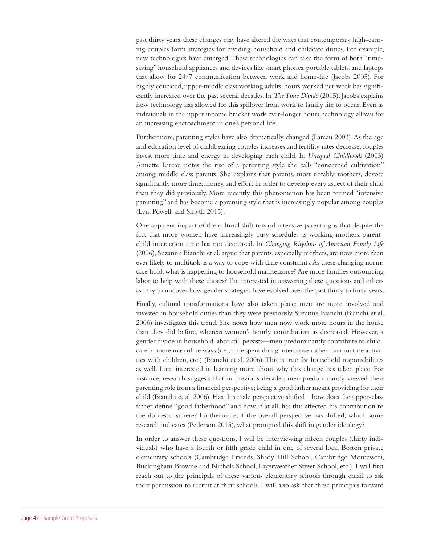past thirty years; these changes may have altered the ways that contemporary high-earning couples form strategies for dividing household and childcare duties. For example, new technologies have emerged. These technologies can take the form of both "timesaving" household appliances and devices like smart phones, portable tablets, and laptops that allow for 24/7 communication between work and home-life (Jacobs 2005). For highly educated, upper-middle class working adults, hours worked per week has significantly increased over the past several decades. In *The Time Divide* (2005), Jacobs explains how technology has allowed for this spillover from work to family life to occur. Even as individuals in the upper income bracket work ever-longer hours, technology allows for an increasing encroachment in one's personal life.

Furthermore, parenting styles have also dramatically changed (Lareau 2003). As the age and education level of childbearing couples increases and fertility rates decrease, couples invest more time and energy in developing each child. In *Unequal Childhoods* (2003) Annette Lareau notes the rise of a parenting style she calls "concerned cultivation" among middle class parents. She explains that parents, most notably mothers, devote significantly more time, money, and effort in order to develop every aspect of their child than they did previously. More recently, this phenomenon has been termed "intensive parenting" and has become a parenting style that is increasingly popular among couples (Lyn, Powell, and Smyth 2015).

One apparent impact of the cultural shift toward intensive parenting is that despite the fact that more women have increasingly busy schedules as working mothers, parentchild interaction time has not decreased. In *Changing Rhythms of American Family Life* (2006), Suzanne Bianchi et al. argue that parents, especially mothers, are now more than ever likely to multitask as a way to cope with time constraints. As these changing norms take hold, what is happening to household maintenance? Are more families outsourcing labor to help with these chores? I'm interested in answering these questions and others as I try to uncover how gender strategies have evolved over the past thirty to forty years.

Finally, cultural transformations have also taken place; men are more involved and invested in household duties than they were previously. Suzanne Bianchi (Bianchi et al. 2006) investigates this trend. She notes how men now work more hours in the house than they did before, whereas women's hourly contribution as decreased. However, a gender divide in household labor still persists—men predominantly contribute to childcare in more masculine ways (i.e., time spent doing interactive rather than routine activities with children, etc.) (Bianchi et al. 2006). This is true for household responsibilities as well. I am interested in learning more about why this change has taken place. For instance, research suggests that in previous decades, men predominantly viewed their parenting role from a financial perspective; being a good father meant providing for their child (Bianchi et al. 2006). Has this male perspective shifted—how does the upper-class father define "good fatherhood" and how, if at all, has this affected his contribution to the domestic sphere? Furthermore, if the overall perspective has shifted, which some research indicates (Pederson 2015), what prompted this shift in gender ideology?

In order to answer these questions, I will be interviewing fifteen couples (thirty individuals) who have a fourth or fifth grade child in one of several local Boston private elementary schools (Cambridge Friends, Shady Hill School, Cambridge Montessori, Buckingham Browne and Nichols School, Fayerweather Street School, etc.). I will first reach out to the principals of these various elementary schools through email to ask their permission to recruit at their schools. I will also ask that these principals forward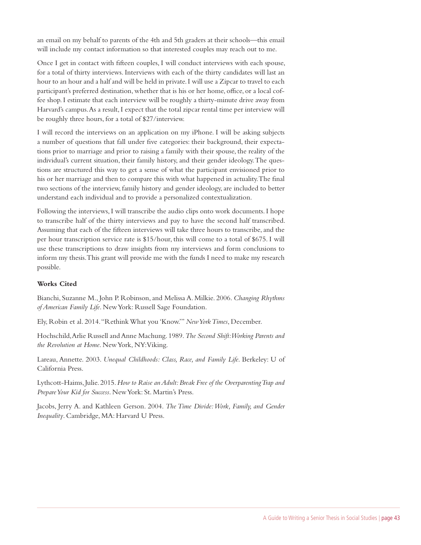an email on my behalf to parents of the 4th and 5th graders at their schools—this email will include my contact information so that interested couples may reach out to me.

Once I get in contact with fifteen couples, I will conduct interviews with each spouse, for a total of thirty interviews. Interviews with each of the thirty candidates will last an hour to an hour and a half and will be held in private. I will use a Zipcar to travel to each participant's preferred destination, whether that is his or her home, office, or a local coffee shop. I estimate that each interview will be roughly a thirty-minute drive away from Harvard's campus. As a result, I expect that the total zipcar rental time per interview will be roughly three hours, for a total of \$27/interview.

I will record the interviews on an application on my iPhone. I will be asking subjects a number of questions that fall under five categories: their background, their expectations prior to marriage and prior to raising a family with their spouse, the reality of the individual's current situation, their family history, and their gender ideology. The questions are structured this way to get a sense of what the participant envisioned prior to his or her marriage and then to compare this with what happened in actuality. The final two sections of the interview, family history and gender ideology, are included to better understand each individual and to provide a personalized contextualization.

Following the interviews, I will transcribe the audio clips onto work documents. I hope to transcribe half of the thirty interviews and pay to have the second half transcribed. Assuming that each of the fifteen interviews will take three hours to transcribe, and the per hour transcription service rate is \$15/hour, this will come to a total of \$675. I will use these transcriptions to draw insights from my interviews and form conclusions to inform my thesis. This grant will provide me with the funds I need to make my research possible.

### **Works Cited**

Bianchi, Suzanne M., John P. Robinson, and Melissa A. Milkie. 2006. *Changing Rhythms of American Family Life*. New York: Russell Sage Foundation.

Ely, Robin et al. 2014. "Rethink What you 'Know.'" *New York Times*, December.

Hochschild, Arlie Russell and Anne Machung. 1989. *The Second Shift: Working Parents and the Revolution at Home*. New York, NY: Viking.

Lareau, Annette. 2003. *Unequal Childhoods: Class, Race, and Family Life*. Berkeley: U of California Press.

Lythcott-Haims, Julie. 2015. *How to Raise an Adult: Break Free of the Overparenting Trap and Prepare Your Kid for Success*. New York: St. Martin's Press.

Jacobs, Jerry A. and Kathleen Gerson. 2004. *The Time Divide: Work, Family, and Gender Inequality*. Cambridge, MA: Harvard U Press.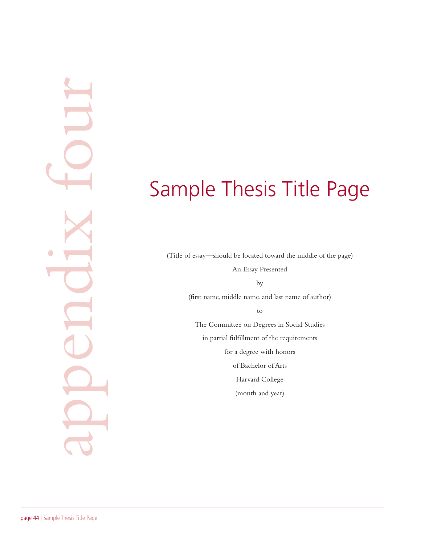# Sample Thesis Title Page

(Title of essay—should be located toward the middle of the page) An Essay Presented by (first name, middle name, and last name of author) to The Committee on Degrees in Social Studies in partial fulfillment of the requirements for a degree with honors of Bachelor of Arts Harvard College (month and year)

appendix four $\bullet$